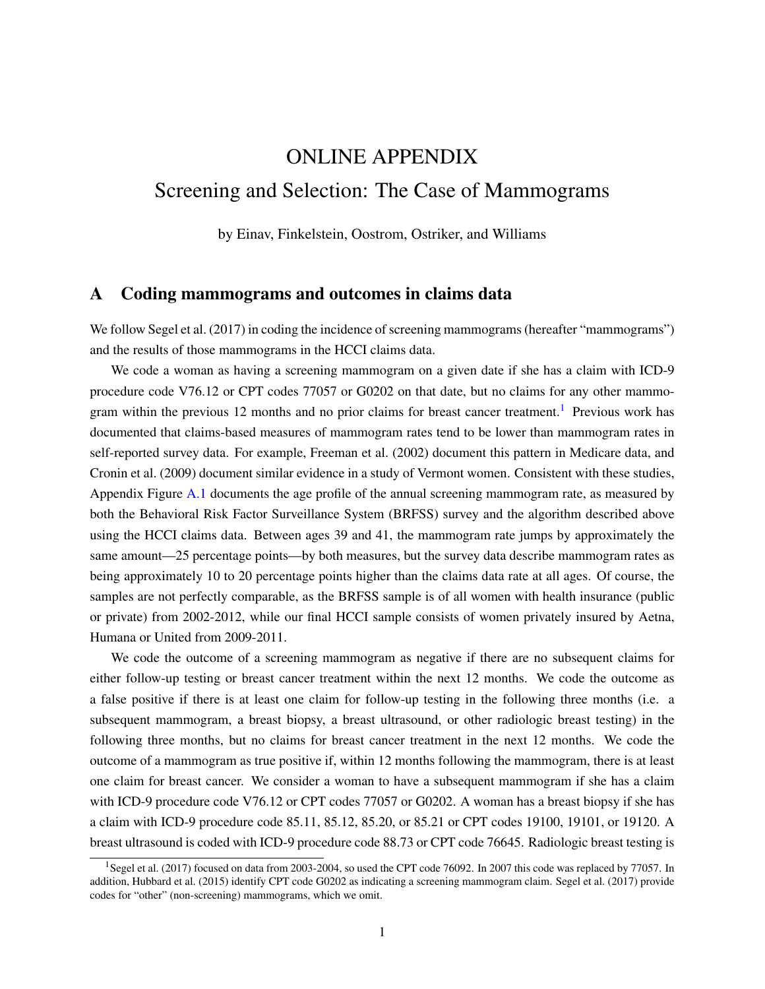# ONLINE APPENDIX Screening and Selection: The Case of Mammograms

by Einav, Finkelstein, Oostrom, Ostriker, and Williams

# <span id="page-0-1"></span>A Coding mammograms and outcomes in claims data

We follow [Segel et al.](#page-30-0) [\(2017\)](#page-30-0) in coding the incidence of screening mammograms (hereafter "mammograms") and the results of those mammograms in the HCCI claims data.

We code a woman as having a screening mammogram on a given date if she has a claim with ICD-9 procedure code V76.12 or CPT codes 77057 or G0202 on that date, but no claims for any other mammo-gram within the previous [1](#page-0-0)2 months and no prior claims for breast cancer treatment.<sup>1</sup> Previous work has documented that claims-based measures of mammogram rates tend to be lower than mammogram rates in self-reported survey data. For example, [Freeman et al.](#page-29-0) [\(2002\)](#page-29-0) document this pattern in Medicare data, and [Cronin et al.](#page-29-1) [\(2009\)](#page-29-1) document similar evidence in a study of Vermont women. Consistent with these studies, Appendix Figure [A.1](#page-13-0) documents the age profile of the annual screening mammogram rate, as measured by both the Behavioral Risk Factor Surveillance System (BRFSS) survey and the algorithm described above using the HCCI claims data. Between ages 39 and 41, the mammogram rate jumps by approximately the same amount—25 percentage points—by both measures, but the survey data describe mammogram rates as being approximately 10 to 20 percentage points higher than the claims data rate at all ages. Of course, the samples are not perfectly comparable, as the BRFSS sample is of all women with health insurance (public or private) from 2002-2012, while our final HCCI sample consists of women privately insured by Aetna, Humana or United from 2009-2011.

We code the outcome of a screening mammogram as negative if there are no subsequent claims for either follow-up testing or breast cancer treatment within the next 12 months. We code the outcome as a false positive if there is at least one claim for follow-up testing in the following three months (i.e. a subsequent mammogram, a breast biopsy, a breast ultrasound, or other radiologic breast testing) in the following three months, but no claims for breast cancer treatment in the next 12 months. We code the outcome of a mammogram as true positive if, within 12 months following the mammogram, there is at least one claim for breast cancer. We consider a woman to have a subsequent mammogram if she has a claim with ICD-9 procedure code V76.12 or CPT codes 77057 or G0202. A woman has a breast biopsy if she has a claim with ICD-9 procedure code 85.11, 85.12, 85.20, or 85.21 or CPT codes 19100, 19101, or 19120. A breast ultrasound is coded with ICD-9 procedure code 88.73 or CPT code 76645. Radiologic breast testing is

<span id="page-0-0"></span> $1$ [Segel et al.](#page-30-0) [\(2017\)](#page-30-0) focused on data from 2003-2004, so used the CPT code 76092. In 2007 this code was replaced by 77057. In addition, [Hubbard et al.](#page-30-1) [\(2015\)](#page-30-1) identify CPT code G0202 as indicating a screening mammogram claim. [Segel et al.](#page-30-0) [\(2017\)](#page-30-0) provide codes for "other" (non-screening) mammograms, which we omit.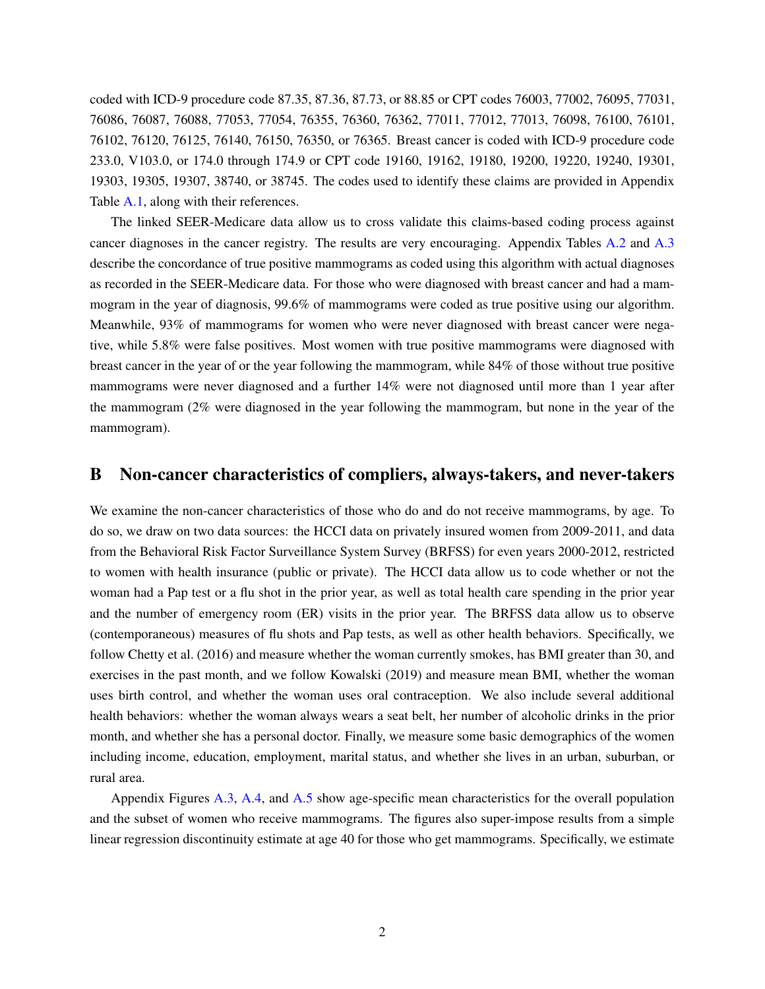coded with ICD-9 procedure code 87.35, 87.36, 87.73, or 88.85 or CPT codes 76003, 77002, 76095, 77031, 76086, 76087, 76088, 77053, 77054, 76355, 76360, 76362, 77011, 77012, 77013, 76098, 76100, 76101, 76102, 76120, 76125, 76140, 76150, 76350, or 76365. Breast cancer is coded with ICD-9 procedure code 233.0, V103.0, or 174.0 through 174.9 or CPT code 19160, 19162, 19180, 19200, 19220, 19240, 19301, 19303, 19305, 19307, 38740, or 38745. The codes used to identify these claims are provided in Appendix Table [A.1,](#page-23-0) along with their references.

The linked SEER-Medicare data allow us to cross validate this claims-based coding process against cancer diagnoses in the cancer registry. The results are very encouraging. Appendix Tables [A.2](#page-23-1) and [A.3](#page-24-0) describe the concordance of true positive mammograms as coded using this algorithm with actual diagnoses as recorded in the SEER-Medicare data. For those who were diagnosed with breast cancer and had a mammogram in the year of diagnosis, 99.6% of mammograms were coded as true positive using our algorithm. Meanwhile, 93% of mammograms for women who were never diagnosed with breast cancer were negative, while 5.8% were false positives. Most women with true positive mammograms were diagnosed with breast cancer in the year of or the year following the mammogram, while 84% of those without true positive mammograms were never diagnosed and a further 14% were not diagnosed until more than 1 year after the mammogram (2% were diagnosed in the year following the mammogram, but none in the year of the mammogram).

## <span id="page-1-0"></span>B Non-cancer characteristics of compliers, always-takers, and never-takers

We examine the non-cancer characteristics of those who do and do not receive mammograms, by age. To do so, we draw on two data sources: the HCCI data on privately insured women from 2009-2011, and data from the Behavioral Risk Factor Surveillance System Survey (BRFSS) for even years 2000-2012, restricted to women with health insurance (public or private). The HCCI data allow us to code whether or not the woman had a Pap test or a flu shot in the prior year, as well as total health care spending in the prior year and the number of emergency room (ER) visits in the prior year. The BRFSS data allow us to observe (contemporaneous) measures of flu shots and Pap tests, as well as other health behaviors. Specifically, we follow [Chetty et al.](#page-29-2) [\(2016\)](#page-29-2) and measure whether the woman currently smokes, has BMI greater than 30, and exercises in the past month, and we follow [Kowalski](#page-30-2) [\(2019\)](#page-30-2) and measure mean BMI, whether the woman uses birth control, and whether the woman uses oral contraception. We also include several additional health behaviors: whether the woman always wears a seat belt, her number of alcoholic drinks in the prior month, and whether she has a personal doctor. Finally, we measure some basic demographics of the women including income, education, employment, marital status, and whether she lives in an urban, suburban, or rural area.

Appendix Figures [A.3,](#page-15-0) [A.4,](#page-16-0) and [A.5](#page-17-0) show age-specific mean characteristics for the overall population and the subset of women who receive mammograms. The figures also super-impose results from a simple linear regression discontinuity estimate at age 40 for those who get mammograms. Specifically, we estimate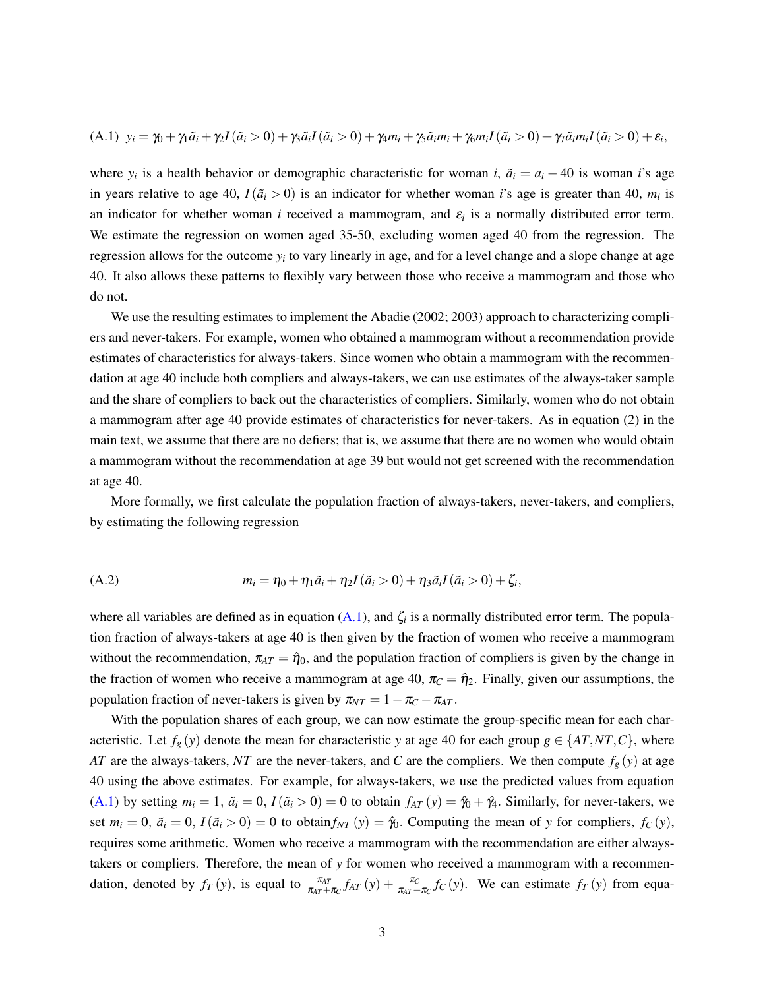<span id="page-2-0"></span>(A.1) 
$$
y_i = \gamma_0 + \gamma_1 \tilde{a}_i + \gamma_2 I(\tilde{a}_i > 0) + \gamma_3 \tilde{a}_i I(\tilde{a}_i > 0) + \gamma_4 m_i + \gamma_5 \tilde{a}_i m_i + \gamma_6 m_i I(\tilde{a}_i > 0) + \gamma_7 \tilde{a}_i m_i I(\tilde{a}_i > 0) + \varepsilon_i
$$

where  $y_i$  is a health behavior or demographic characteristic for woman *i*,  $\tilde{a}_i = a_i - 40$  is woman *i*'s age in years relative to age 40,  $I(\tilde{a}_i > 0)$  is an indicator for whether woman *i*'s age is greater than 40,  $m_i$  is an indicator for whether woman *i* received a mammogram, and  $\varepsilon_i$  is a normally distributed error term. We estimate the regression on women aged 35-50, excluding women aged 40 from the regression. The regression allows for the outcome *y<sup>i</sup>* to vary linearly in age, and for a level change and a slope change at age 40. It also allows these patterns to flexibly vary between those who receive a mammogram and those who do not.

We use the resulting estimates to implement the Abadie [\(2002;](#page-29-3) [2003\)](#page-29-4) approach to characterizing compliers and never-takers. For example, women who obtained a mammogram without a recommendation provide estimates of characteristics for always-takers. Since women who obtain a mammogram with the recommendation at age 40 include both compliers and always-takers, we can use estimates of the always-taker sample and the share of compliers to back out the characteristics of compliers. Similarly, women who do not obtain a mammogram after age 40 provide estimates of characteristics for never-takers. As in equation (2) in the main text, we assume that there are no defiers; that is, we assume that there are no women who would obtain a mammogram without the recommendation at age 39 but would not get screened with the recommendation at age 40.

More formally, we first calculate the population fraction of always-takers, never-takers, and compliers, by estimating the following regression

$$
(A.2) \t\t m_i = \eta_0 + \eta_1 \tilde{a}_i + \eta_2 I(\tilde{a}_i > 0) + \eta_3 \tilde{a}_i I(\tilde{a}_i > 0) + \zeta_i,
$$

where all variables are defined as in equation  $(A.1)$ , and  $\zeta_i$  is a normally distributed error term. The population fraction of always-takers at age 40 is then given by the fraction of women who receive a mammogram without the recommendation,  $\pi_{AT} = \hat{\eta}_0$ , and the population fraction of compliers is given by the change in the fraction of women who receive a mammogram at age 40,  $\pi_c = \hat{\eta}_2$ . Finally, given our assumptions, the population fraction of never-takers is given by  $\pi_{NT} = 1 - \pi_C - \pi_{AT}$ .

With the population shares of each group, we can now estimate the group-specific mean for each characteristic. Let  $f_g(y)$  denote the mean for characteristic *y* at age 40 for each group  $g \in \{AT, NT, C\}$ , where *AT* are the always-takers, *NT* are the never-takers, and *C* are the compliers. We then compute *f<sup>g</sup>* (*y*) at age 40 using the above estimates. For example, for always-takers, we use the predicted values from equation [\(A.1\)](#page-2-0) by setting  $m_i = 1$ ,  $\tilde{a}_i = 0$ ,  $I(\tilde{a}_i > 0) = 0$  to obtain  $f_{AT}(y) = \hat{y}_0 + \hat{y}_1$ . Similarly, for never-takers, we set  $m_i = 0$ ,  $\tilde{a}_i = 0$ ,  $I(\tilde{a}_i > 0) = 0$  to obtain  $f_{NT}(y) = \hat{y}_0$ . Computing the mean of y for compliers,  $f_C(y)$ , requires some arithmetic. Women who receive a mammogram with the recommendation are either alwaystakers or compliers. Therefore, the mean of *y* for women who received a mammogram with a recommendation, denoted by  $f_T(y)$ , is equal to  $\frac{\pi_{AT}}{\pi_{AT}+\pi_C}f_{AT}(y) + \frac{\pi_C}{\pi_{AT}+\pi_C}f_C(y)$ . We can estimate  $f_T(y)$  from equa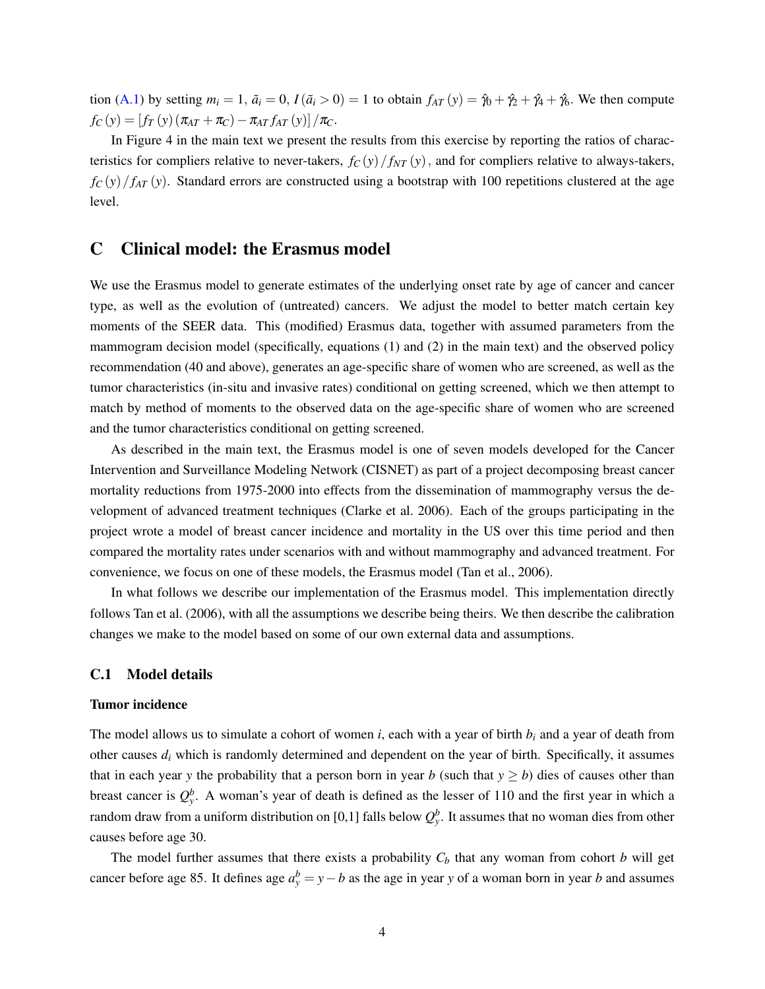tion [\(A.1\)](#page-2-0) by setting  $m_i = 1$ ,  $\tilde{a}_i = 0$ ,  $I(\tilde{a}_i > 0) = 1$  to obtain  $f_{AT}(y) = \hat{y}_0 + \hat{y}_1 + \hat{y}_2 + \hat{y}_3$ . We then compute  $f_C(y) = [f_T(y) (\pi_{AT} + \pi_C) - \pi_{AT} f_{AT}(y)] / \pi_C.$ 

In Figure 4 in the main text we present the results from this exercise by reporting the ratios of characteristics for compliers relative to never-takers,  $f_C(y)/f_{NT}(y)$ , and for compliers relative to always-takers,  $f_C(y)/f_{AT}(y)$ . Standard errors are constructed using a bootstrap with 100 repetitions clustered at the age level.

# <span id="page-3-0"></span>C Clinical model: the Erasmus model

We use the Erasmus model to generate estimates of the underlying onset rate by age of cancer and cancer type, as well as the evolution of (untreated) cancers. We adjust the model to better match certain key moments of the SEER data. This (modified) Erasmus data, together with assumed parameters from the mammogram decision model (specifically, equations (1) and (2) in the main text) and the observed policy recommendation (40 and above), generates an age-specific share of women who are screened, as well as the tumor characteristics (in-situ and invasive rates) conditional on getting screened, which we then attempt to match by method of moments to the observed data on the age-specific share of women who are screened and the tumor characteristics conditional on getting screened.

As described in the main text, the Erasmus model is one of seven models developed for the Cancer Intervention and Surveillance Modeling Network (CISNET) as part of a project decomposing breast cancer mortality reductions from 1975-2000 into effects from the dissemination of mammography versus the development of advanced treatment techniques [\(Clarke et al.](#page-29-5) [2006\)](#page-29-5). Each of the groups participating in the project wrote a model of breast cancer incidence and mortality in the US over this time period and then compared the mortality rates under scenarios with and without mammography and advanced treatment. For convenience, we focus on one of these models, the Erasmus model [\(Tan et al.,](#page-30-3) [2006\)](#page-30-3).

In what follows we describe our implementation of the Erasmus model. This implementation directly follows [Tan et al.](#page-30-3) [\(2006\)](#page-30-3), with all the assumptions we describe being theirs. We then describe the calibration changes we make to the model based on some of our own external data and assumptions.

#### C.1 Model details

#### Tumor incidence

The model allows us to simulate a cohort of women *i*, each with a year of birth *b<sup>i</sup>* and a year of death from other causes *d<sup>i</sup>* which is randomly determined and dependent on the year of birth. Specifically, it assumes that in each year *y* the probability that a person born in year *b* (such that  $y \ge b$ ) dies of causes other than breast cancer is  $Q_y^b$ . A woman's year of death is defined as the lesser of 110 and the first year in which a random draw from a uniform distribution on [0,1] falls below  $Q^b_{y}$ . It assumes that no woman dies from other causes before age 30.

The model further assumes that there exists a probability *C<sup>b</sup>* that any woman from cohort *b* will get cancer before age 85. It defines age  $a_y^b = y - b$  as the age in year *y* of a woman born in year *b* and assumes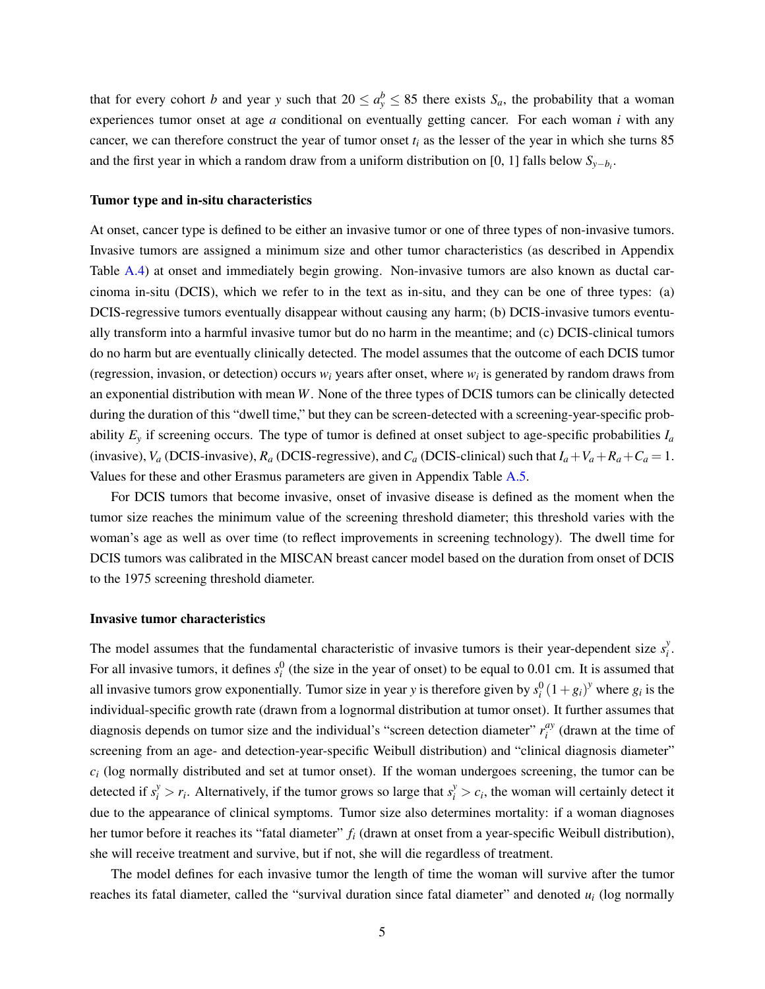that for every cohort *b* and year *y* such that  $20 \le a_y^b \le 85$  there exists  $S_a$ , the probability that a woman experiences tumor onset at age *a* conditional on eventually getting cancer. For each woman *i* with any cancer, we can therefore construct the year of tumor onset  $t_i$  as the lesser of the year in which she turns  $85$ and the first year in which a random draw from a uniform distribution on [0, 1] falls below  $S_{y-b_i}$ .

#### Tumor type and in-situ characteristics

At onset, cancer type is defined to be either an invasive tumor or one of three types of non-invasive tumors. Invasive tumors are assigned a minimum size and other tumor characteristics (as described in Appendix Table [A.4\)](#page-24-1) at onset and immediately begin growing. Non-invasive tumors are also known as ductal carcinoma in-situ (DCIS), which we refer to in the text as in-situ, and they can be one of three types: (a) DCIS-regressive tumors eventually disappear without causing any harm; (b) DCIS-invasive tumors eventually transform into a harmful invasive tumor but do no harm in the meantime; and (c) DCIS-clinical tumors do no harm but are eventually clinically detected. The model assumes that the outcome of each DCIS tumor (regression, invasion, or detection) occurs  $w_i$  years after onset, where  $w_i$  is generated by random draws from an exponential distribution with mean *W*. None of the three types of DCIS tumors can be clinically detected during the duration of this "dwell time," but they can be screen-detected with a screening-year-specific probability  $E_y$  if screening occurs. The type of tumor is defined at onset subject to age-specific probabilities  $I_a$ (invasive),  $V_a$  (DCIS-invasive),  $R_a$  (DCIS-regressive), and  $C_a$  (DCIS-clinical) such that  $I_a + V_a + R_a + C_a = 1$ . Values for these and other Erasmus parameters are given in Appendix Table [A.5.](#page-25-0)

For DCIS tumors that become invasive, onset of invasive disease is defined as the moment when the tumor size reaches the minimum value of the screening threshold diameter; this threshold varies with the woman's age as well as over time (to reflect improvements in screening technology). The dwell time for DCIS tumors was calibrated in the MISCAN breast cancer model based on the duration from onset of DCIS to the 1975 screening threshold diameter.

#### Invasive tumor characteristics

The model assumes that the fundamental characteristic of invasive tumors is their year-dependent size  $s_i^y$ *i* . For all invasive tumors, it defines  $s_i^0$  (the size in the year of onset) to be equal to 0.01 cm. It is assumed that all invasive tumors grow exponentially. Tumor size in year *y* is therefore given by  $s_i^0(1+g_i)^y$  where  $g_i$  is the individual-specific growth rate (drawn from a lognormal distribution at tumor onset). It further assumes that diagnosis depends on tumor size and the individual's "screen detection diameter"  $r_i^{ay}$  $i_j^{(4)}$  (drawn at the time of screening from an age- and detection-year-specific Weibull distribution) and "clinical diagnosis diameter"  $c_i$  (log normally distributed and set at tumor onset). If the woman undergoes screening, the tumor can be detected if  $s_i^y > r_i$ . Alternatively, if the tumor grows so large that  $s_i^y > c_i$ , the woman will certainly detect it due to the appearance of clinical symptoms. Tumor size also determines mortality: if a woman diagnoses her tumor before it reaches its "fatal diameter" *f<sup>i</sup>* (drawn at onset from a year-specific Weibull distribution), she will receive treatment and survive, but if not, she will die regardless of treatment.

The model defines for each invasive tumor the length of time the woman will survive after the tumor reaches its fatal diameter, called the "survival duration since fatal diameter" and denoted *u<sup>i</sup>* (log normally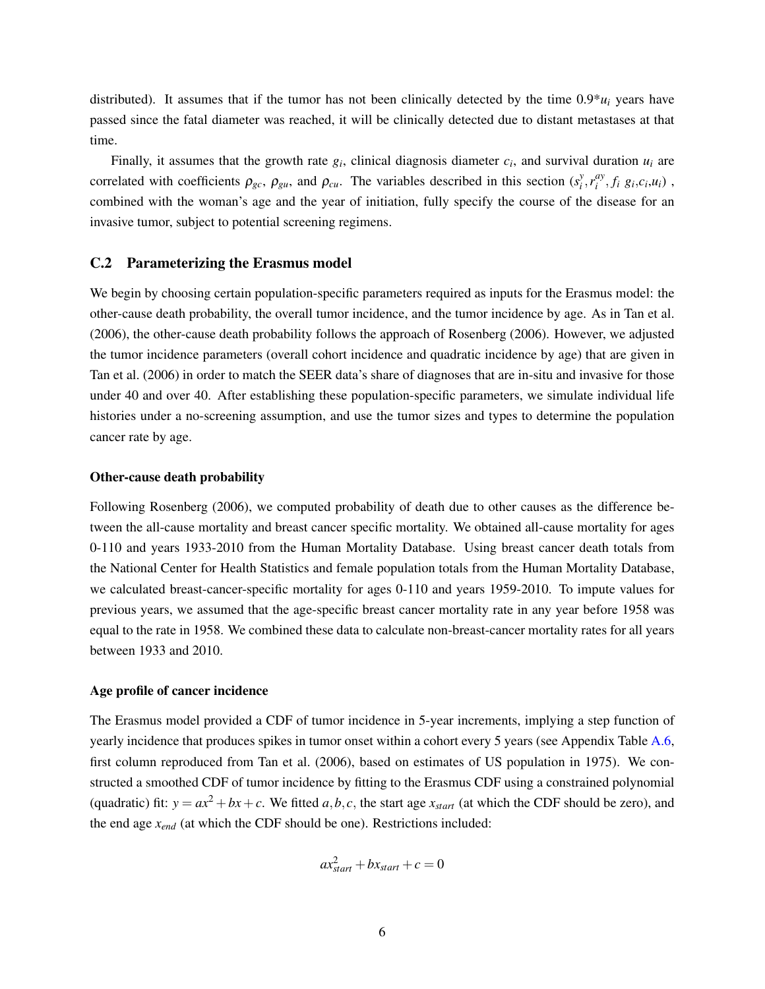distributed). It assumes that if the tumor has not been clinically detected by the time  $0.9^*u_i$  years have passed since the fatal diameter was reached, it will be clinically detected due to distant metastases at that time.

Finally, it assumes that the growth rate  $g_i$ , clinical diagnosis diameter  $c_i$ , and survival duration  $u_i$  are correlated with coefficients  $\rho_{gc}$ ,  $\rho_{gu}$ , and  $\rho_{cu}$ . The variables described in this section  $(s_i^y)$ *i* ,*r ay*  $\int_i^{ay}$ ,  $f_i$   $g_i$ ,  $c_i$ ,  $u_i$ ), combined with the woman's age and the year of initiation, fully specify the course of the disease for an invasive tumor, subject to potential screening regimens.

#### C.2 Parameterizing the Erasmus model

We begin by choosing certain population-specific parameters required as inputs for the Erasmus model: the other-cause death probability, the overall tumor incidence, and the tumor incidence by age. As in [Tan et al.](#page-30-3) [\(2006\)](#page-30-3), the other-cause death probability follows the approach of [Rosenberg](#page-30-4) [\(2006\)](#page-30-4). However, we adjusted the tumor incidence parameters (overall cohort incidence and quadratic incidence by age) that are given in [Tan et al.](#page-30-3) [\(2006\)](#page-30-3) in order to match the SEER data's share of diagnoses that are in-situ and invasive for those under 40 and over 40. After establishing these population-specific parameters, we simulate individual life histories under a no-screening assumption, and use the tumor sizes and types to determine the population cancer rate by age.

#### Other-cause death probability

Following [Rosenberg](#page-30-4) [\(2006\)](#page-30-4), we computed probability of death due to other causes as the difference between the all-cause mortality and breast cancer specific mortality. We obtained all-cause mortality for ages 0-110 and years 1933-2010 from the Human Mortality Database. Using breast cancer death totals from the National Center for Health Statistics and female population totals from the Human Mortality Database, we calculated breast-cancer-specific mortality for ages 0-110 and years 1959-2010. To impute values for previous years, we assumed that the age-specific breast cancer mortality rate in any year before 1958 was equal to the rate in 1958. We combined these data to calculate non-breast-cancer mortality rates for all years between 1933 and 2010.

#### Age profile of cancer incidence

The Erasmus model provided a CDF of tumor incidence in 5-year increments, implying a step function of yearly incidence that produces spikes in tumor onset within a cohort every 5 years (see Appendix Table [A.6,](#page-26-0) first column reproduced from [Tan et al.](#page-30-3) [\(2006\)](#page-30-3), based on estimates of US population in 1975). We constructed a smoothed CDF of tumor incidence by fitting to the Erasmus CDF using a constrained polynomial (quadratic) fit:  $y = ax^2 + bx + c$ . We fitted *a*,*b*,*c*, the start age  $x_{start}$  (at which the CDF should be zero), and the end age *xend* (at which the CDF should be one). Restrictions included:

$$
ax_{start}^2 + bx_{start} + c = 0
$$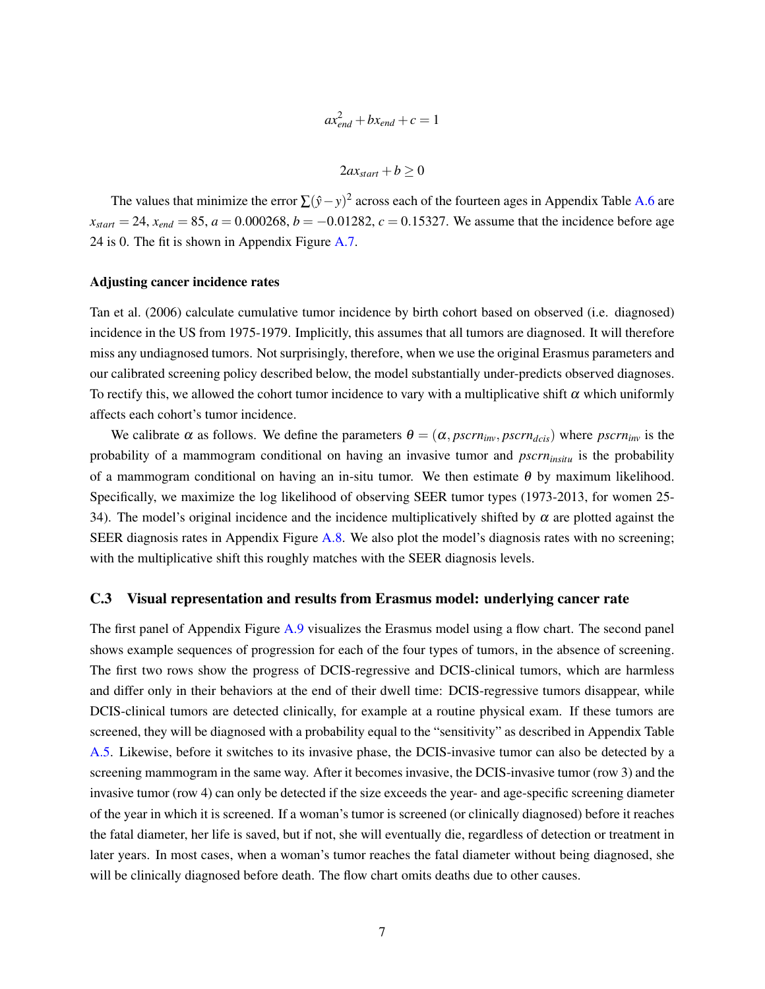$$
ax_{end}^2 + bx_{end} + c = 1
$$

$$
2ax_{start} + b \ge 0
$$

The values that minimize the error  $\sum (\hat{y}-y)^2$  across each of the fourteen ages in Appendix Table [A.6](#page-26-0) are  $x_{start} = 24$ ,  $x_{end} = 85$ ,  $a = 0.000268$ ,  $b = -0.01282$ ,  $c = 0.15327$ . We assume that the incidence before age 24 is 0. The fit is shown in Appendix Figure [A.7.](#page-19-0)

#### Adjusting cancer incidence rates

[Tan et al.](#page-30-3) [\(2006\)](#page-30-3) calculate cumulative tumor incidence by birth cohort based on observed (i.e. diagnosed) incidence in the US from 1975-1979. Implicitly, this assumes that all tumors are diagnosed. It will therefore miss any undiagnosed tumors. Not surprisingly, therefore, when we use the original Erasmus parameters and our calibrated screening policy described below, the model substantially under-predicts observed diagnoses. To rectify this, we allowed the cohort tumor incidence to vary with a multiplicative shift  $\alpha$  which uniformly affects each cohort's tumor incidence.

We calibrate  $\alpha$  as follows. We define the parameters  $\theta = (\alpha, pscr_n_p, pscr_n_{\text{des}})$  where  $pscr_n_{\text{inv}}$  is the probability of a mammogram conditional on having an invasive tumor and *pscrninsitu* is the probability of a mammogram conditional on having an in-situ tumor. We then estimate  $\theta$  by maximum likelihood. Specifically, we maximize the log likelihood of observing SEER tumor types (1973-2013, for women 25- 34). The model's original incidence and the incidence multiplicatively shifted by  $\alpha$  are plotted against the SEER diagnosis rates in Appendix Figure [A.8.](#page-20-0) We also plot the model's diagnosis rates with no screening; with the multiplicative shift this roughly matches with the SEER diagnosis levels.

#### C.3 Visual representation and results from Erasmus model: underlying cancer rate

The first panel of Appendix Figure [A.9](#page-21-0) visualizes the Erasmus model using a flow chart. The second panel shows example sequences of progression for each of the four types of tumors, in the absence of screening. The first two rows show the progress of DCIS-regressive and DCIS-clinical tumors, which are harmless and differ only in their behaviors at the end of their dwell time: DCIS-regressive tumors disappear, while DCIS-clinical tumors are detected clinically, for example at a routine physical exam. If these tumors are screened, they will be diagnosed with a probability equal to the "sensitivity" as described in Appendix Table [A.5.](#page-25-0) Likewise, before it switches to its invasive phase, the DCIS-invasive tumor can also be detected by a screening mammogram in the same way. After it becomes invasive, the DCIS-invasive tumor (row 3) and the invasive tumor (row 4) can only be detected if the size exceeds the year- and age-specific screening diameter of the year in which it is screened. If a woman's tumor is screened (or clinically diagnosed) before it reaches the fatal diameter, her life is saved, but if not, she will eventually die, regardless of detection or treatment in later years. In most cases, when a woman's tumor reaches the fatal diameter without being diagnosed, she will be clinically diagnosed before death. The flow chart omits deaths due to other causes.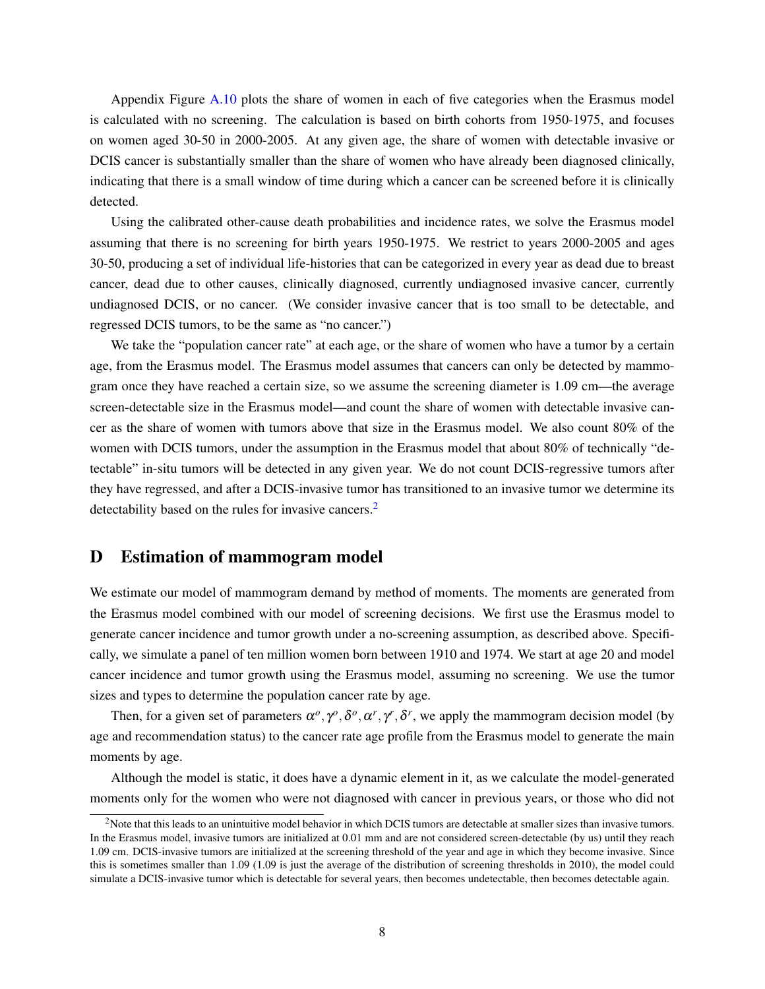Appendix Figure [A.10](#page-22-0) plots the share of women in each of five categories when the Erasmus model is calculated with no screening. The calculation is based on birth cohorts from 1950-1975, and focuses on women aged 30-50 in 2000-2005. At any given age, the share of women with detectable invasive or DCIS cancer is substantially smaller than the share of women who have already been diagnosed clinically, indicating that there is a small window of time during which a cancer can be screened before it is clinically detected.

Using the calibrated other-cause death probabilities and incidence rates, we solve the Erasmus model assuming that there is no screening for birth years 1950-1975. We restrict to years 2000-2005 and ages 30-50, producing a set of individual life-histories that can be categorized in every year as dead due to breast cancer, dead due to other causes, clinically diagnosed, currently undiagnosed invasive cancer, currently undiagnosed DCIS, or no cancer. (We consider invasive cancer that is too small to be detectable, and regressed DCIS tumors, to be the same as "no cancer.")

We take the "population cancer rate" at each age, or the share of women who have a tumor by a certain age, from the Erasmus model. The Erasmus model assumes that cancers can only be detected by mammogram once they have reached a certain size, so we assume the screening diameter is 1.09 cm—the average screen-detectable size in the Erasmus model—and count the share of women with detectable invasive cancer as the share of women with tumors above that size in the Erasmus model. We also count 80% of the women with DCIS tumors, under the assumption in the Erasmus model that about 80% of technically "detectable" in-situ tumors will be detected in any given year. We do not count DCIS-regressive tumors after they have regressed, and after a DCIS-invasive tumor has transitioned to an invasive tumor we determine its detectability based on the rules for invasive cancers.<sup>[2](#page-7-0)</sup>

## D Estimation of mammogram model

We estimate our model of mammogram demand by method of moments. The moments are generated from the Erasmus model combined with our model of screening decisions. We first use the Erasmus model to generate cancer incidence and tumor growth under a no-screening assumption, as described above. Specifically, we simulate a panel of ten million women born between 1910 and 1974. We start at age 20 and model cancer incidence and tumor growth using the Erasmus model, assuming no screening. We use the tumor sizes and types to determine the population cancer rate by age.

Then, for a given set of parameters  $\alpha^o, \gamma^o, \delta^o, \alpha^r, \gamma^r, \delta^r$ , we apply the mammogram decision model (by age and recommendation status) to the cancer rate age profile from the Erasmus model to generate the main moments by age.

Although the model is static, it does have a dynamic element in it, as we calculate the model-generated moments only for the women who were not diagnosed with cancer in previous years, or those who did not

<span id="page-7-0"></span><sup>&</sup>lt;sup>2</sup>Note that this leads to an unintuitive model behavior in which DCIS tumors are detectable at smaller sizes than invasive tumors. In the Erasmus model, invasive tumors are initialized at 0.01 mm and are not considered screen-detectable (by us) until they reach 1.09 cm. DCIS-invasive tumors are initialized at the screening threshold of the year and age in which they become invasive. Since this is sometimes smaller than 1.09 (1.09 is just the average of the distribution of screening thresholds in 2010), the model could simulate a DCIS-invasive tumor which is detectable for several years, then becomes undetectable, then becomes detectable again.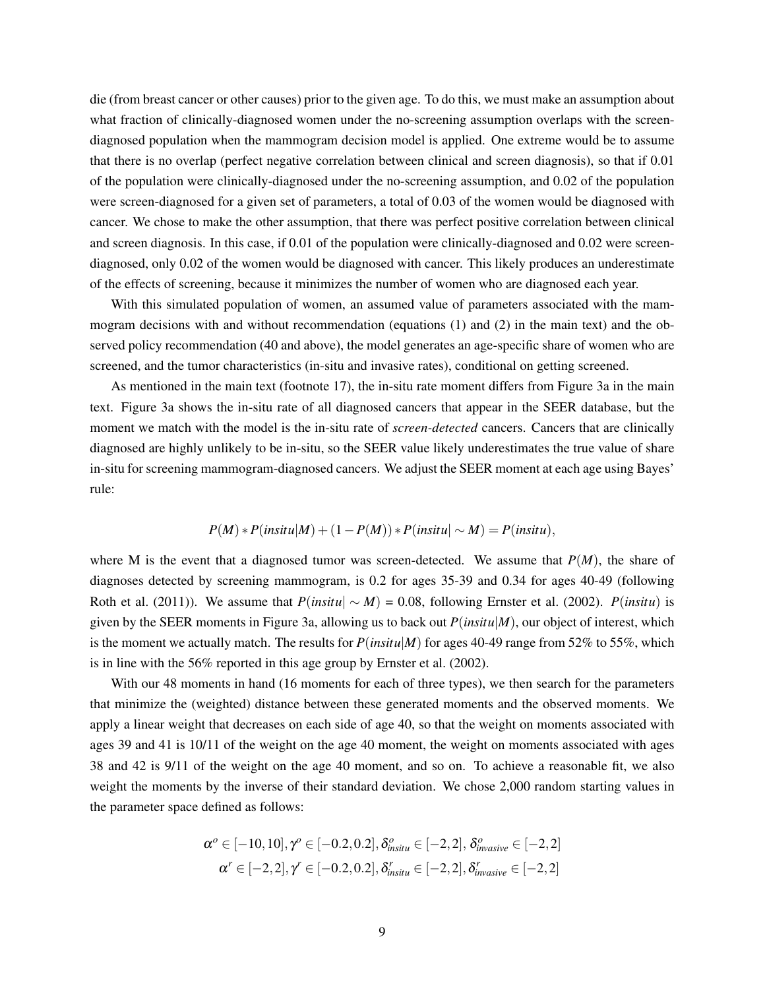die (from breast cancer or other causes) prior to the given age. To do this, we must make an assumption about what fraction of clinically-diagnosed women under the no-screening assumption overlaps with the screendiagnosed population when the mammogram decision model is applied. One extreme would be to assume that there is no overlap (perfect negative correlation between clinical and screen diagnosis), so that if 0.01 of the population were clinically-diagnosed under the no-screening assumption, and 0.02 of the population were screen-diagnosed for a given set of parameters, a total of 0.03 of the women would be diagnosed with cancer. We chose to make the other assumption, that there was perfect positive correlation between clinical and screen diagnosis. In this case, if 0.01 of the population were clinically-diagnosed and 0.02 were screendiagnosed, only 0.02 of the women would be diagnosed with cancer. This likely produces an underestimate of the effects of screening, because it minimizes the number of women who are diagnosed each year.

With this simulated population of women, an assumed value of parameters associated with the mammogram decisions with and without recommendation (equations (1) and (2) in the main text) and the observed policy recommendation (40 and above), the model generates an age-specific share of women who are screened, and the tumor characteristics (in-situ and invasive rates), conditional on getting screened.

As mentioned in the main text (footnote 17), the in-situ rate moment differs from Figure 3a in the main text. Figure 3a shows the in-situ rate of all diagnosed cancers that appear in the SEER database, but the moment we match with the model is the in-situ rate of *screen-detected* cancers. Cancers that are clinically diagnosed are highly unlikely to be in-situ, so the SEER value likely underestimates the true value of share in-situ for screening mammogram-diagnosed cancers. We adjust the SEER moment at each age using Bayes' rule:

$$
P(M) * P(insitu|M) + (1 - P(M)) * P(insitu| \sim M) = P(insitu),
$$

where M is the event that a diagnosed tumor was screen-detected. We assume that *P*(*M*), the share of diagnoses detected by screening mammogram, is 0.2 for ages 35-39 and 0.34 for ages 40-49 (following [Roth et al.](#page-30-5) [\(2011\)](#page-30-5)). We assume that  $P(institu| \sim M) = 0.08$ , following [Ernster et al.](#page-29-6) [\(2002\)](#page-29-6).  $P(institu)$  is given by the SEER moments in Figure 3a, allowing us to back out  $P(insitu|M)$ , our object of interest, which is the moment we actually match. The results for  $P(institu|M)$  for ages 40-49 range from 52% to 55%, which is in line with the 56% reported in this age group by [Ernster et al.](#page-29-6) [\(2002\)](#page-29-6).

With our 48 moments in hand (16 moments for each of three types), we then search for the parameters that minimize the (weighted) distance between these generated moments and the observed moments. We apply a linear weight that decreases on each side of age 40, so that the weight on moments associated with ages 39 and 41 is 10/11 of the weight on the age 40 moment, the weight on moments associated with ages 38 and 42 is 9/11 of the weight on the age 40 moment, and so on. To achieve a reasonable fit, we also weight the moments by the inverse of their standard deviation. We chose 2,000 random starting values in the parameter space defined as follows:

$$
\alpha^o \in [-10, 10], \gamma^o \in [-0.2, 0.2], \delta_{insitu}^o \in [-2, 2], \delta_{invasive}^o \in [-2, 2]
$$

$$
\alpha^r \in [-2, 2], \gamma^r \in [-0.2, 0.2], \delta_{insitu}^r \in [-2, 2], \delta_{invasive}^r \in [-2, 2]
$$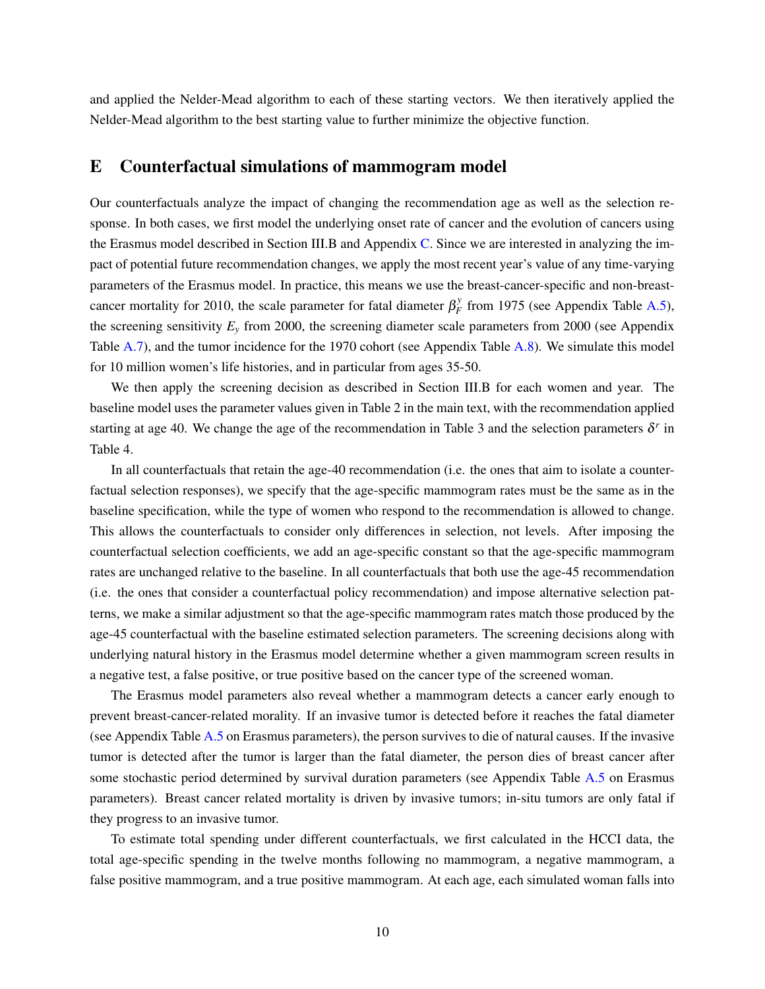and applied the Nelder-Mead algorithm to each of these starting vectors. We then iteratively applied the Nelder-Mead algorithm to the best starting value to further minimize the objective function.

## E Counterfactual simulations of mammogram model

Our counterfactuals analyze the impact of changing the recommendation age as well as the selection response. In both cases, we first model the underlying onset rate of cancer and the evolution of cancers using the Erasmus model described in Section III.B and Appendix [C.](#page-3-0) Since we are interested in analyzing the impact of potential future recommendation changes, we apply the most recent year's value of any time-varying parameters of the Erasmus model. In practice, this means we use the breast-cancer-specific and non-breastcancer mortality for 2010, the scale parameter for fatal diameter  $\beta_F^y$  $F_F^y$  from 1975 (see Appendix Table [A.5\)](#page-25-0), the screening sensitivity  $E<sub>y</sub>$  from 2000, the screening diameter scale parameters from 2000 (see Appendix Table [A.7\)](#page-26-1), and the tumor incidence for the 1970 cohort (see Appendix Table [A.8\)](#page-27-0). We simulate this model for 10 million women's life histories, and in particular from ages 35-50.

We then apply the screening decision as described in Section III.B for each women and year. The baseline model uses the parameter values given in Table 2 in the main text, with the recommendation applied starting at age 40. We change the age of the recommendation in Table 3 and the selection parameters  $\delta^r$  in Table 4.

In all counterfactuals that retain the age-40 recommendation (i.e. the ones that aim to isolate a counterfactual selection responses), we specify that the age-specific mammogram rates must be the same as in the baseline specification, while the type of women who respond to the recommendation is allowed to change. This allows the counterfactuals to consider only differences in selection, not levels. After imposing the counterfactual selection coefficients, we add an age-specific constant so that the age-specific mammogram rates are unchanged relative to the baseline. In all counterfactuals that both use the age-45 recommendation (i.e. the ones that consider a counterfactual policy recommendation) and impose alternative selection patterns, we make a similar adjustment so that the age-specific mammogram rates match those produced by the age-45 counterfactual with the baseline estimated selection parameters. The screening decisions along with underlying natural history in the Erasmus model determine whether a given mammogram screen results in a negative test, a false positive, or true positive based on the cancer type of the screened woman.

The Erasmus model parameters also reveal whether a mammogram detects a cancer early enough to prevent breast-cancer-related morality. If an invasive tumor is detected before it reaches the fatal diameter (see Appendix Table [A.5](#page-25-0) on Erasmus parameters), the person survives to die of natural causes. If the invasive tumor is detected after the tumor is larger than the fatal diameter, the person dies of breast cancer after some stochastic period determined by survival duration parameters (see Appendix Table [A.5](#page-25-0) on Erasmus parameters). Breast cancer related mortality is driven by invasive tumors; in-situ tumors are only fatal if they progress to an invasive tumor.

To estimate total spending under different counterfactuals, we first calculated in the HCCI data, the total age-specific spending in the twelve months following no mammogram, a negative mammogram, a false positive mammogram, and a true positive mammogram. At each age, each simulated woman falls into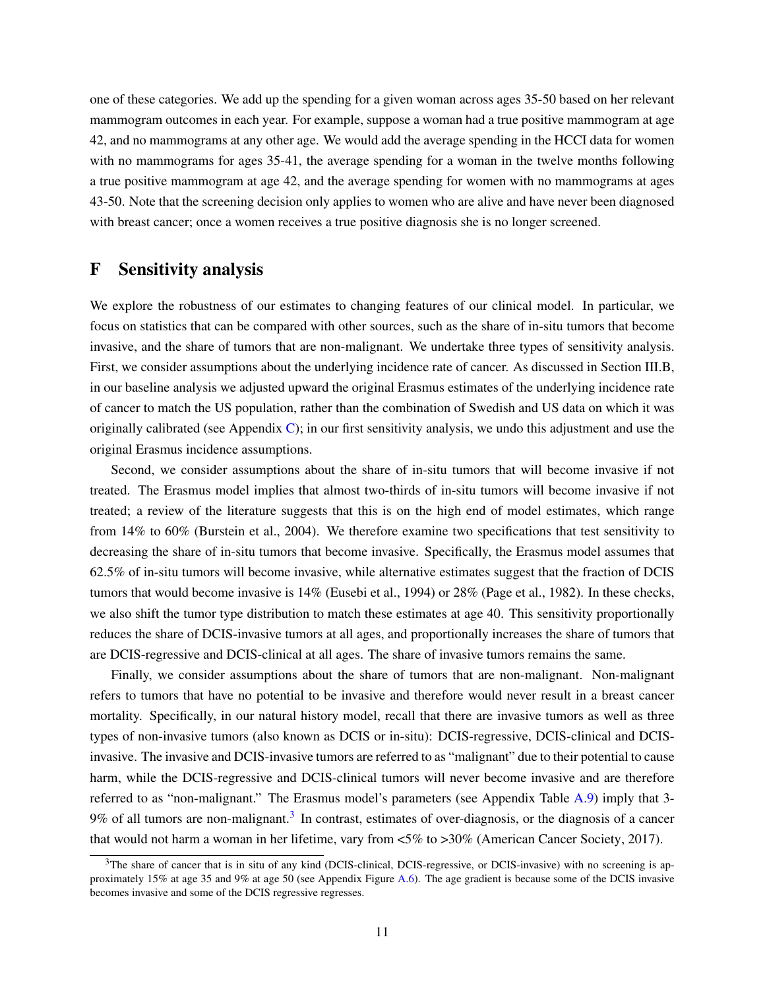one of these categories. We add up the spending for a given woman across ages 35-50 based on her relevant mammogram outcomes in each year. For example, suppose a woman had a true positive mammogram at age 42, and no mammograms at any other age. We would add the average spending in the HCCI data for women with no mammograms for ages 35-41, the average spending for a woman in the twelve months following a true positive mammogram at age 42, and the average spending for women with no mammograms at ages 43-50. Note that the screening decision only applies to women who are alive and have never been diagnosed with breast cancer; once a women receives a true positive diagnosis she is no longer screened.

## <span id="page-10-1"></span>F Sensitivity analysis

We explore the robustness of our estimates to changing features of our clinical model. In particular, we focus on statistics that can be compared with other sources, such as the share of in-situ tumors that become invasive, and the share of tumors that are non-malignant. We undertake three types of sensitivity analysis. First, we consider assumptions about the underlying incidence rate of cancer. As discussed in Section III.B, in our baseline analysis we adjusted upward the original Erasmus estimates of the underlying incidence rate of cancer to match the US population, rather than the combination of Swedish and US data on which it was originally calibrated (see Appendix [C\)](#page-3-0); in our first sensitivity analysis, we undo this adjustment and use the original Erasmus incidence assumptions.

Second, we consider assumptions about the share of in-situ tumors that will become invasive if not treated. The Erasmus model implies that almost two-thirds of in-situ tumors will become invasive if not treated; a review of the literature suggests that this is on the high end of model estimates, which range from 14% to 60% [\(Burstein et al.,](#page-29-7) [2004\)](#page-29-7). We therefore examine two specifications that test sensitivity to decreasing the share of in-situ tumors that become invasive. Specifically, the Erasmus model assumes that 62.5% of in-situ tumors will become invasive, while alternative estimates suggest that the fraction of DCIS tumors that would become invasive is 14% [\(Eusebi et al.,](#page-29-8) [1994\)](#page-29-8) or 28% [\(Page et al.,](#page-30-6) [1982\)](#page-30-6). In these checks, we also shift the tumor type distribution to match these estimates at age 40. This sensitivity proportionally reduces the share of DCIS-invasive tumors at all ages, and proportionally increases the share of tumors that are DCIS-regressive and DCIS-clinical at all ages. The share of invasive tumors remains the same.

Finally, we consider assumptions about the share of tumors that are non-malignant. Non-malignant refers to tumors that have no potential to be invasive and therefore would never result in a breast cancer mortality. Specifically, in our natural history model, recall that there are invasive tumors as well as three types of non-invasive tumors (also known as DCIS or in-situ): DCIS-regressive, DCIS-clinical and DCISinvasive. The invasive and DCIS-invasive tumors are referred to as "malignant" due to their potential to cause harm, while the DCIS-regressive and DCIS-clinical tumors will never become invasive and are therefore referred to as "non-malignant." The Erasmus model's parameters (see Appendix Table [A.9\)](#page-27-1) imply that 3-  $9\%$  of all tumors are non-malignant.<sup>[3](#page-10-0)</sup> In contrast, estimates of over-diagnosis, or the diagnosis of a cancer that would not harm a woman in her lifetime, vary from <5% to >30% [\(American Cancer Society,](#page-29-9) [2017\)](#page-29-9).

<span id="page-10-0"></span> $3$ The share of cancer that is in situ of any kind (DCIS-clinical, DCIS-regressive, or DCIS-invasive) with no screening is approximately 15% at age 35 and 9% at age 50 (see Appendix Figure [A.6\)](#page-18-0). The age gradient is because some of the DCIS invasive becomes invasive and some of the DCIS regressive regresses.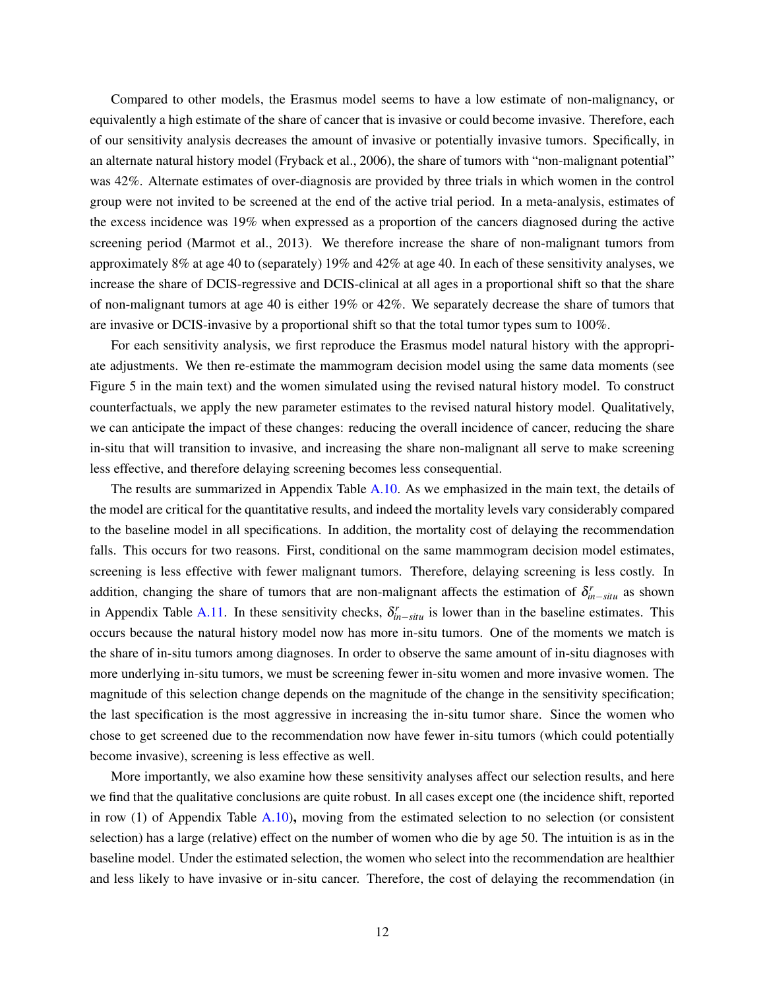Compared to other models, the Erasmus model seems to have a low estimate of non-malignancy, or equivalently a high estimate of the share of cancer that is invasive or could become invasive. Therefore, each of our sensitivity analysis decreases the amount of invasive or potentially invasive tumors. Specifically, in an alternate natural history model [\(Fryback et al.,](#page-30-7) [2006\)](#page-30-7), the share of tumors with "non-malignant potential" was 42%. Alternate estimates of over-diagnosis are provided by three trials in which women in the control group were not invited to be screened at the end of the active trial period. In a meta-analysis, estimates of the excess incidence was 19% when expressed as a proportion of the cancers diagnosed during the active screening period [\(Marmot et al.,](#page-30-8) [2013\)](#page-30-8). We therefore increase the share of non-malignant tumors from approximately 8% at age 40 to (separately) 19% and 42% at age 40. In each of these sensitivity analyses, we increase the share of DCIS-regressive and DCIS-clinical at all ages in a proportional shift so that the share of non-malignant tumors at age 40 is either 19% or 42%. We separately decrease the share of tumors that are invasive or DCIS-invasive by a proportional shift so that the total tumor types sum to 100%.

For each sensitivity analysis, we first reproduce the Erasmus model natural history with the appropriate adjustments. We then re-estimate the mammogram decision model using the same data moments (see Figure 5 in the main text) and the women simulated using the revised natural history model. To construct counterfactuals, we apply the new parameter estimates to the revised natural history model. Qualitatively, we can anticipate the impact of these changes: reducing the overall incidence of cancer, reducing the share in-situ that will transition to invasive, and increasing the share non-malignant all serve to make screening less effective, and therefore delaying screening becomes less consequential.

The results are summarized in Appendix Table [A.10.](#page-28-0) As we emphasized in the main text, the details of the model are critical for the quantitative results, and indeed the mortality levels vary considerably compared to the baseline model in all specifications. In addition, the mortality cost of delaying the recommendation falls. This occurs for two reasons. First, conditional on the same mammogram decision model estimates, screening is less effective with fewer malignant tumors. Therefore, delaying screening is less costly. In addition, changing the share of tumors that are non-malignant affects the estimation of  $\delta_{in-situ}^r$  as shown in Appendix Table [A.11.](#page-28-1) In these sensitivity checks,  $\delta_{in-situ}^r$  is lower than in the baseline estimates. This occurs because the natural history model now has more in-situ tumors. One of the moments we match is the share of in-situ tumors among diagnoses. In order to observe the same amount of in-situ diagnoses with more underlying in-situ tumors, we must be screening fewer in-situ women and more invasive women. The magnitude of this selection change depends on the magnitude of the change in the sensitivity specification; the last specification is the most aggressive in increasing the in-situ tumor share. Since the women who chose to get screened due to the recommendation now have fewer in-situ tumors (which could potentially become invasive), screening is less effective as well.

More importantly, we also examine how these sensitivity analyses affect our selection results, and here we find that the qualitative conclusions are quite robust. In all cases except one (the incidence shift, reported in row (1) of Appendix Table [A.10\)](#page-28-0), moving from the estimated selection to no selection (or consistent selection) has a large (relative) effect on the number of women who die by age 50. The intuition is as in the baseline model. Under the estimated selection, the women who select into the recommendation are healthier and less likely to have invasive or in-situ cancer. Therefore, the cost of delaying the recommendation (in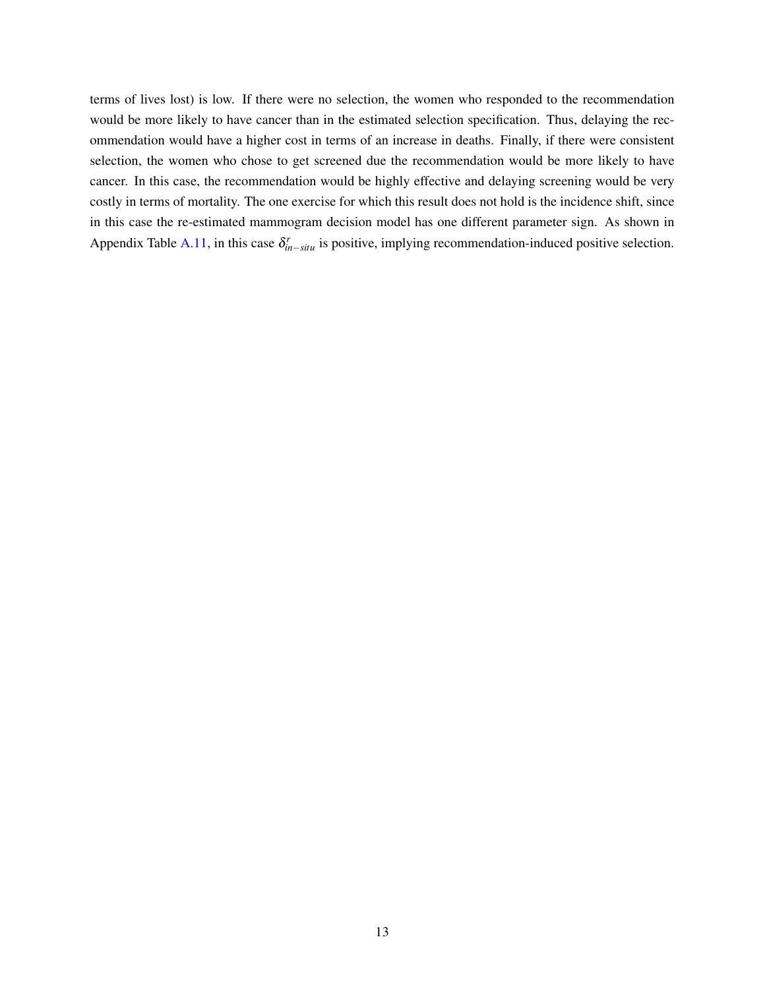terms of lives lost) is low. If there were no selection, the women who responded to the recommendation would be more likely to have cancer than in the estimated selection specification. Thus, delaying the recommendation would have a higher cost in terms of an increase in deaths. Finally, if there were consistent selection, the women who chose to get screened due the recommendation would be more likely to have cancer. In this case, the recommendation would be highly effective and delaying screening would be very costly in terms of mortality. The one exercise for which this result does not hold is the incidence shift, since in this case the re-estimated mammogram decision model has one different parameter sign. As shown in Appendix Table [A.11,](#page-28-1) in this case  $\delta_{in-situ}^r$  is positive, implying recommendation-induced positive selection.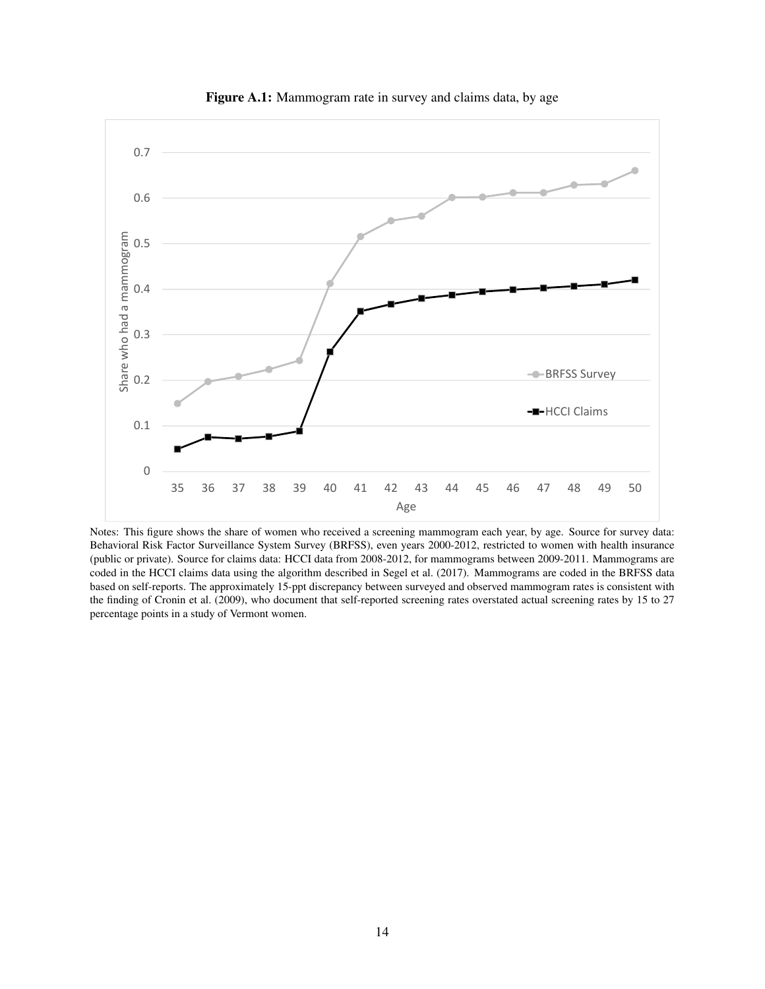<span id="page-13-0"></span>

Figure A.1: Mammogram rate in survey and claims data, by age

Notes: This figure shows the share of women who received a screening mammogram each year, by age. Source for survey data: Behavioral Risk Factor Surveillance System Survey (BRFSS), even years 2000-2012, restricted to women with health insurance (public or private). Source for claims data: HCCI data from 2008-2012, for mammograms between 2009-2011. Mammograms are coded in the HCCI claims data using the algorithm described in [Segel et al.](#page-30-0) [\(2017\)](#page-30-0). Mammograms are coded in the BRFSS data based on self-reports. The approximately 15-ppt discrepancy between surveyed and observed mammogram rates is consistent with the finding of [Cronin et al.](#page-29-1) [\(2009\)](#page-29-1), who document that self-reported screening rates overstated actual screening rates by 15 to 27 percentage points in a study of Vermont women.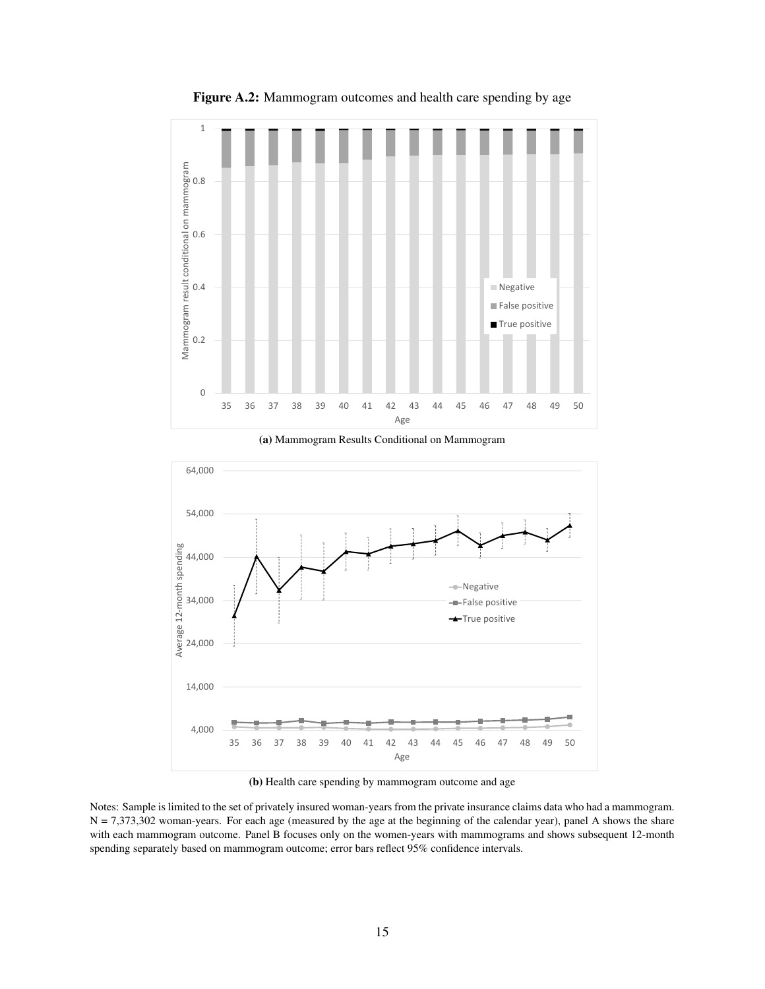

Figure A.2: Mammogram outcomes and health care spending by age

(a) Mammogram Results Conditional on Mammogram



(b) Health care spending by mammogram outcome and age

Notes: Sample is limited to the set of privately insured woman-years from the private insurance claims data who had a mammogram.  $N = 7,373,302$  woman-years. For each age (measured by the age at the beginning of the calendar year), panel A shows the share with each mammogram outcome. Panel B focuses only on the women-years with mammograms and shows subsequent 12-month spending separately based on mammogram outcome; error bars reflect 95% confidence intervals.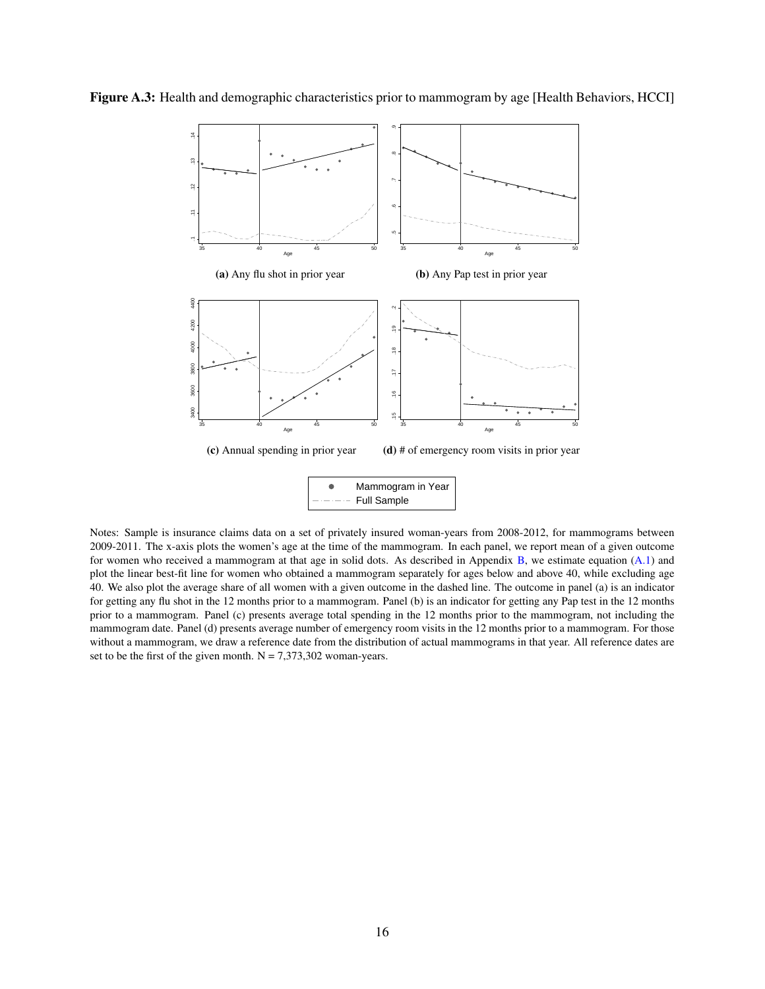

<span id="page-15-0"></span>Figure A.3: Health and demographic characteristics prior to mammogram by age [Health Behaviors, HCCI]

Notes: Sample is insurance claims data on a set of privately insured woman-years from 2008-2012, for mammograms between 2009-2011. The x-axis plots the women's age at the time of the mammogram. In each panel, we report mean of a given outcome for women who received a mammogram at that age in solid dots. As described in Appendix [B,](#page-1-0) we estimate equation  $(A,1)$  and plot the linear best-fit line for women who obtained a mammogram separately for ages below and above 40, while excluding age 40. We also plot the average share of all women with a given outcome in the dashed line. The outcome in panel (a) is an indicator for getting any flu shot in the 12 months prior to a mammogram. Panel (b) is an indicator for getting any Pap test in the 12 months prior to a mammogram. Panel (c) presents average total spending in the 12 months prior to the mammogram, not including the mammogram date. Panel (d) presents average number of emergency room visits in the 12 months prior to a mammogram. For those without a mammogram, we draw a reference date from the distribution of actual mammograms in that year. All reference dates are set to be the first of the given month.  $N = 7,373,302$  woman-years.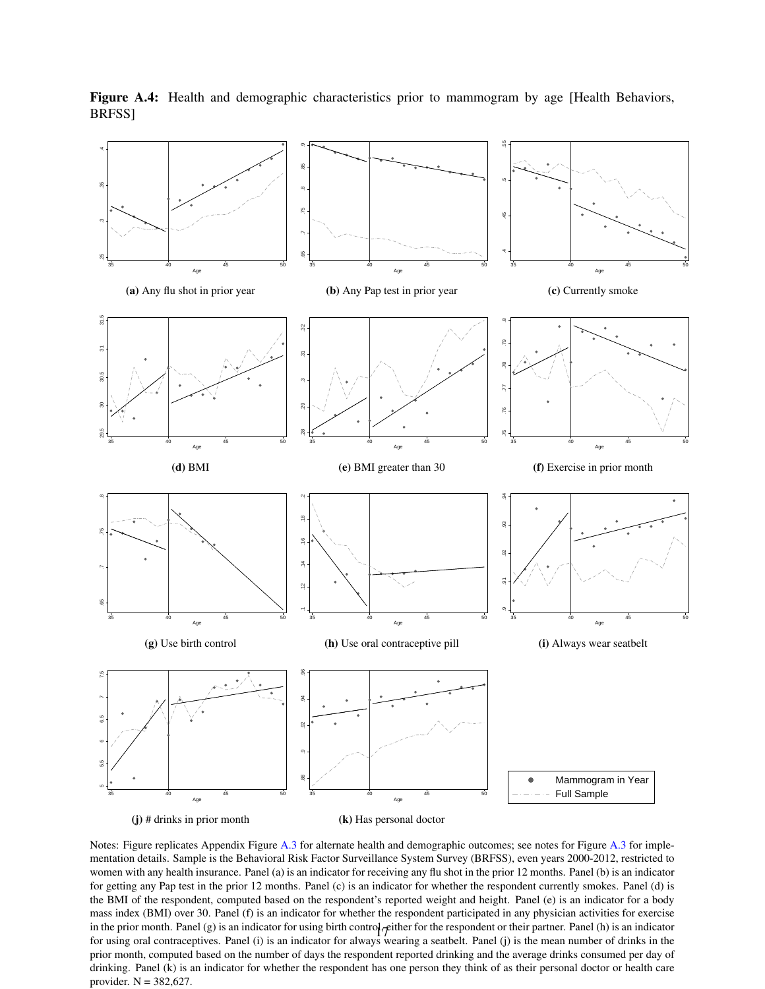

<span id="page-16-0"></span>Figure A.4: Health and demographic characteristics prior to mammogram by age [Health Behaviors, BRFSS]

Notes: Figure replicates Appendix Figure [A.3](#page-15-0) for alternate health and demographic outcomes; see notes for Figure [A.3](#page-15-0) for implementation details. Sample is the Behavioral Risk Factor Surveillance System Survey (BRFSS), even years 2000-2012, restricted to women with any health insurance. Panel (a) is an indicator for receiving any flu shot in the prior 12 months. Panel (b) is an indicator for getting any Pap test in the prior 12 months. Panel (c) is an indicator for whether the respondent currently smokes. Panel (d) is the BMI of the respondent, computed based on the respondent's reported weight and height. Panel (e) is an indicator for a body mass index (BMI) over 30. Panel (f) is an indicator for whether the respondent participated in any physician activities for exercise in the prior month. Panel (g) is an indicator for using birth control, pither for the respondent or their partner. Panel (h) is an indicator for using oral contraceptives. Panel (i) is an indicator for always wearing a seatbelt. Panel (j) is the mean number of drinks in the prior month, computed based on the number of days the respondent reported drinking and the average drinks consumed per day of drinking. Panel (k) is an indicator for whether the respondent has one person they think of as their personal doctor or health care provider. N = 382,627.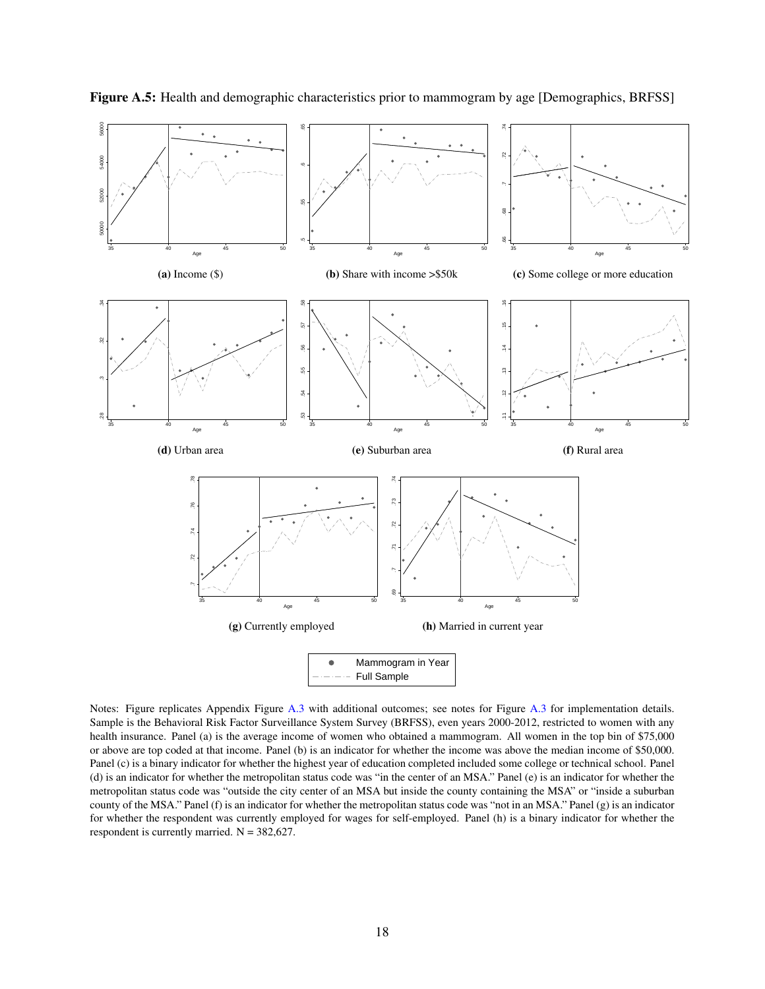<span id="page-17-0"></span>

Notes: Figure replicates Appendix Figure [A.3](#page-15-0) with additional outcomes; see notes for Figure [A.3](#page-15-0) for implementation details. Sample is the Behavioral Risk Factor Surveillance System Survey (BRFSS), even years 2000-2012, restricted to women with any health insurance. Panel (a) is the average income of women who obtained a mammogram. All women in the top bin of \$75,000 or above are top coded at that income. Panel (b) is an indicator for whether the income was above the median income of \$50,000. Panel (c) is a binary indicator for whether the highest year of education completed included some college or technical school. Panel (d) is an indicator for whether the metropolitan status code was "in the center of an MSA." Panel (e) is an indicator for whether the metropolitan status code was "outside the city center of an MSA but inside the county containing the MSA" or "inside a suburban county of the MSA." Panel (f) is an indicator for whether the metropolitan status code was "not in an MSA." Panel (g) is an indicator for whether the respondent was currently employed for wages for self-employed. Panel (h) is a binary indicator for whether the respondent is currently married.  $N = 382,627$ .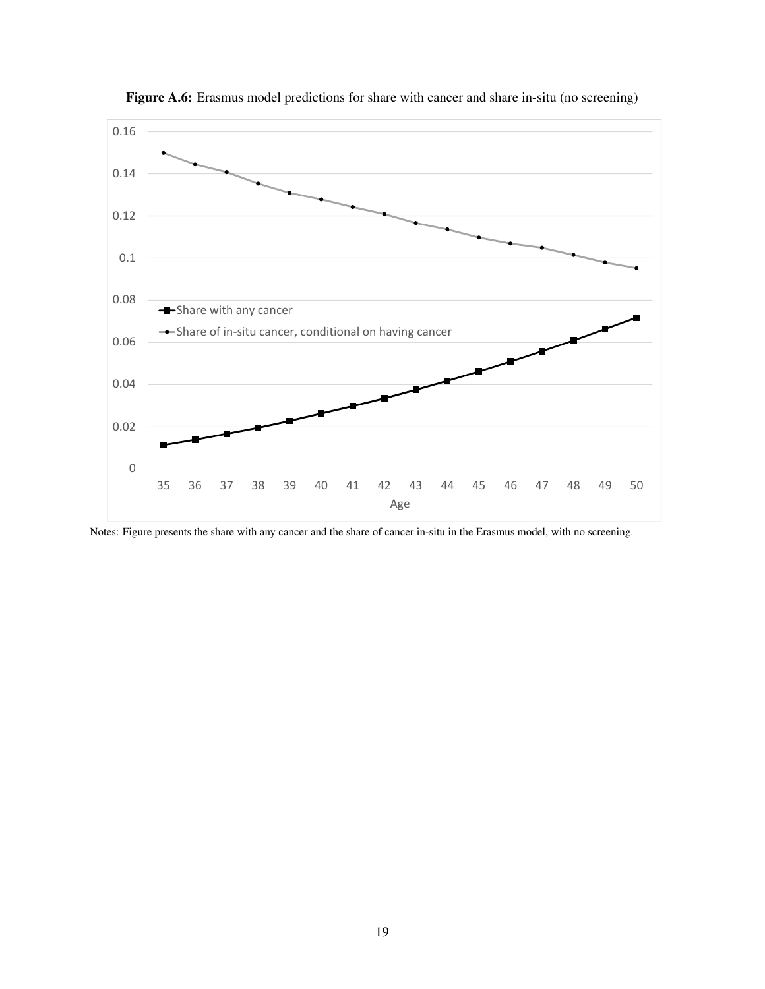<span id="page-18-0"></span>

Figure A.6: Erasmus model predictions for share with cancer and share in-situ (no screening)

Notes: Figure presents the share with any cancer and the share of cancer in-situ in the Erasmus model, with no screening.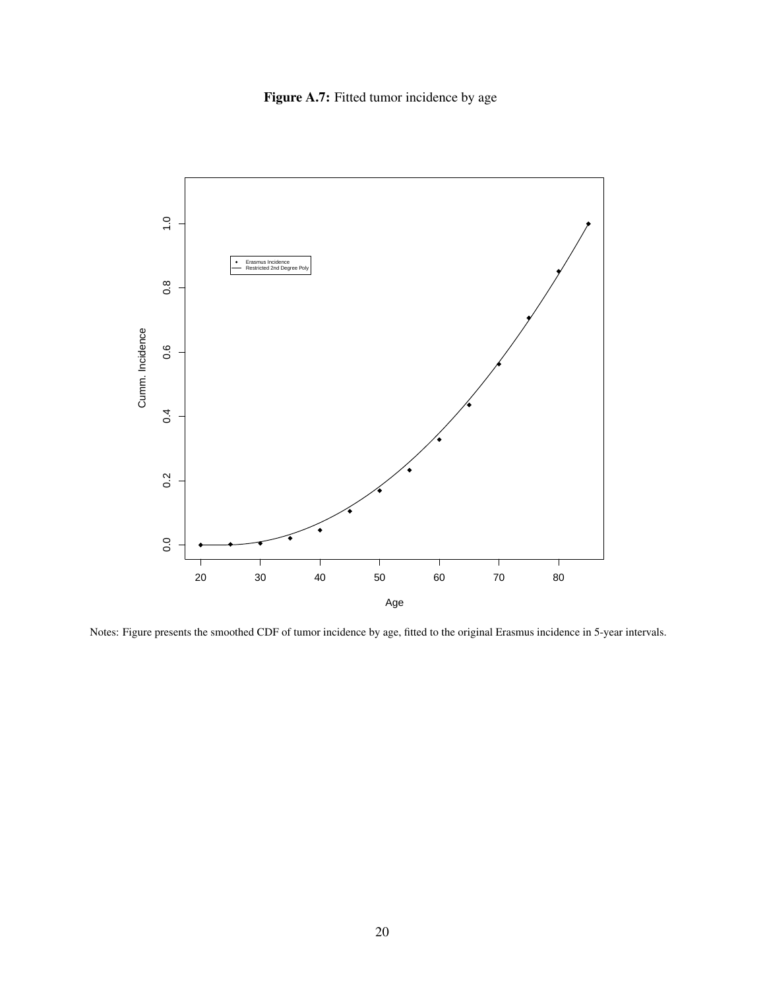Figure A.7: Fitted tumor incidence by age

<span id="page-19-0"></span>

Notes: Figure presents the smoothed CDF of tumor incidence by age, fitted to the original Erasmus incidence in 5-year intervals.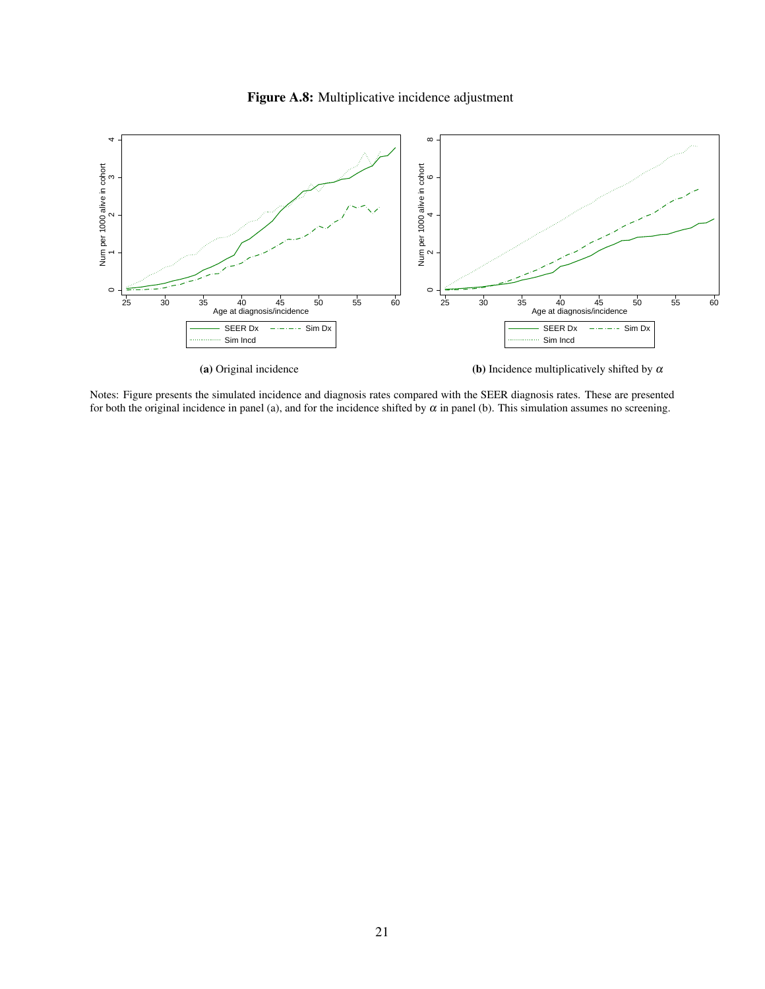

<span id="page-20-0"></span>

Notes: Figure presents the simulated incidence and diagnosis rates compared with the SEER diagnosis rates. These are presented for both the original incidence in panel (a), and for the incidence shifted by  $\alpha$  in panel (b). This simulation assumes no screening.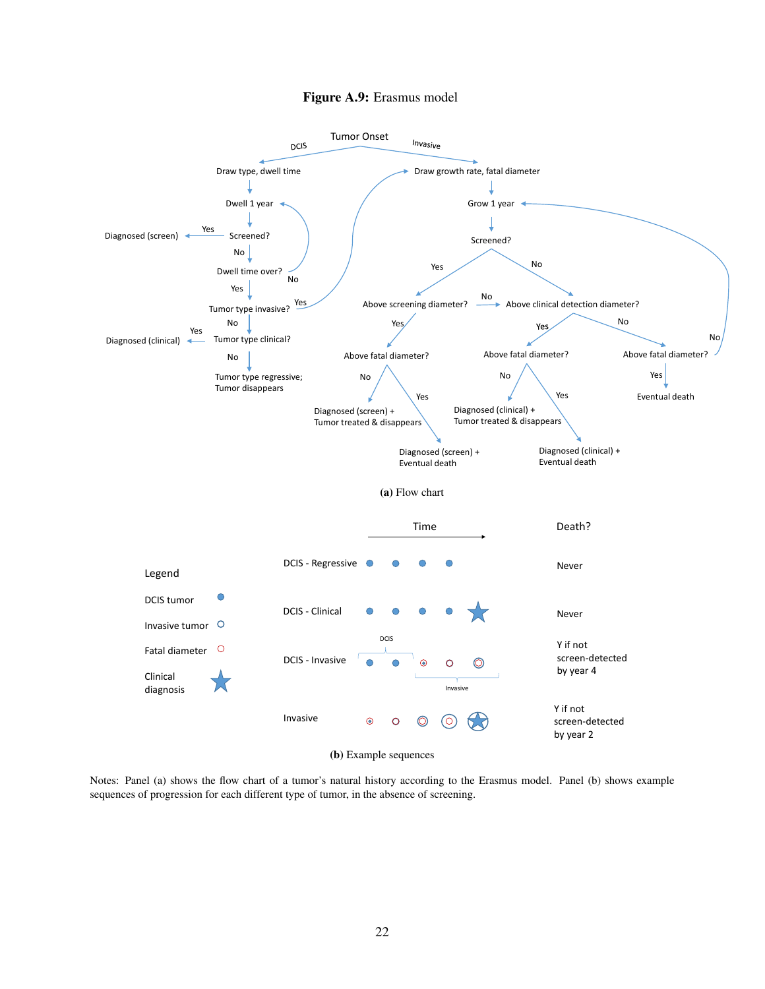<span id="page-21-0"></span>

Figure A.9: Erasmus model

(b) Example sequences

Notes: Panel (a) shows the flow chart of a tumor's natural history according to the Erasmus model. Panel (b) shows example sequences of progression for each different type of tumor, in the absence of screening.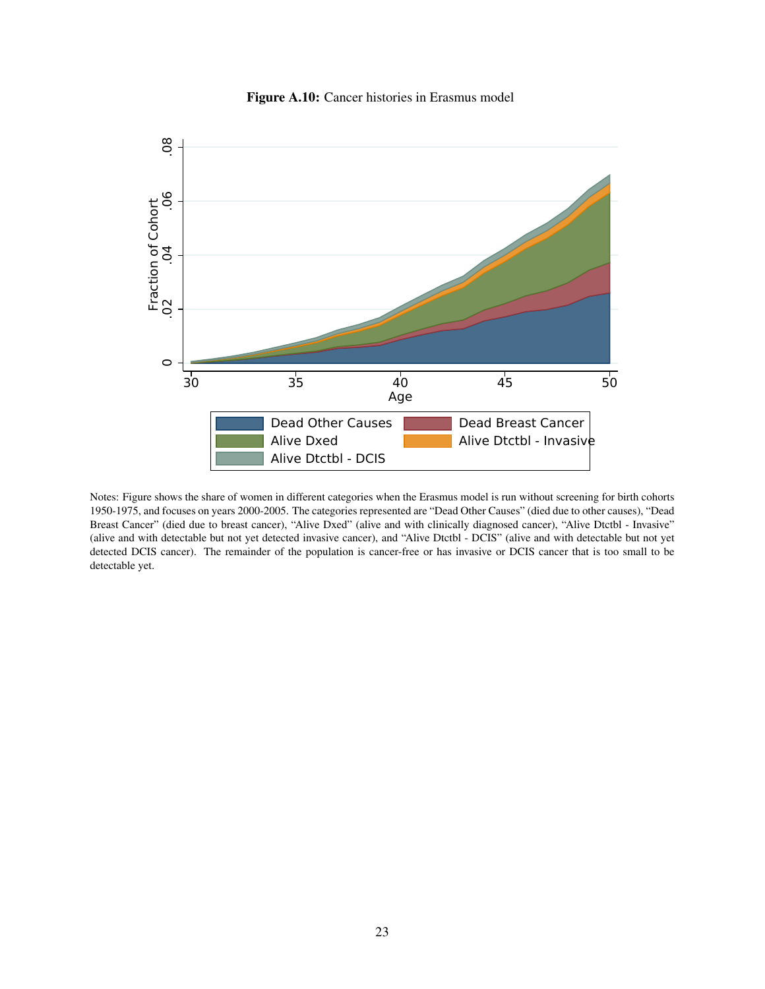## Figure A.10: Cancer histories in Erasmus model

<span id="page-22-0"></span>

Notes: Figure shows the share of women in different categories when the Erasmus model is run without screening for birth cohorts 1950-1975, and focuses on years 2000-2005. The categories represented are "Dead Other Causes" (died due to other causes), "Dead Breast Cancer" (died due to breast cancer), "Alive Dxed" (alive and with clinically diagnosed cancer), "Alive Dtctbl - Invasive" (alive and with detectable but not yet detected invasive cancer), and "Alive Dtctbl - DCIS" (alive and with detectable but not yet detected DCIS cancer). The remainder of the population is cancer-free or has invasive or DCIS cancer that is too small to be detectable yet.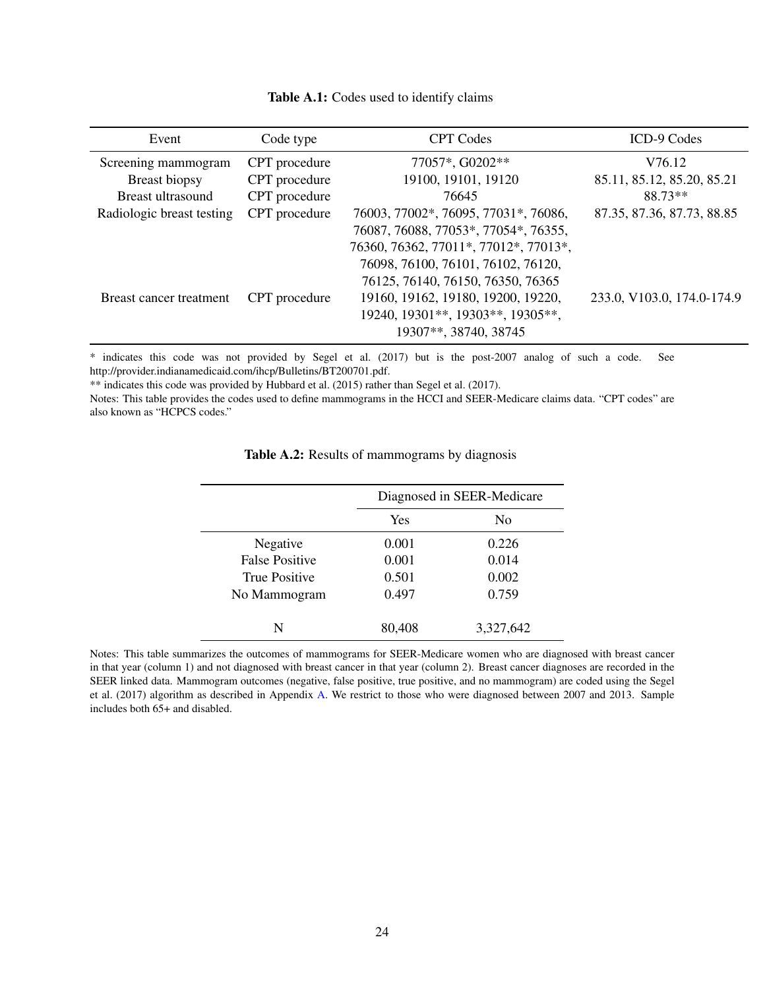<span id="page-23-0"></span>

| Event                     | Code type     | <b>CPT</b> Codes                      | ICD-9 Codes                |
|---------------------------|---------------|---------------------------------------|----------------------------|
| Screening mammogram       | CPT procedure | 77057*, G0202**                       | V76.12                     |
| Breast biopsy             | CPT procedure | 19100, 19101, 19120                   | 85.11, 85.12, 85.20, 85.21 |
| <b>Breast ultrasound</b>  | CPT procedure | 76645                                 | 88 73 **                   |
| Radiologic breast testing | CPT procedure | 76003, 77002*, 76095, 77031*, 76086,  | 87.35, 87.36, 87.73, 88.85 |
|                           |               | 76087, 76088, 77053*, 77054*, 76355,  |                            |
|                           |               | 76360, 76362, 77011*, 77012*, 77013*, |                            |
|                           |               | 76098, 76100, 76101, 76102, 76120,    |                            |
|                           |               | 76125, 76140, 76150, 76350, 76365     |                            |
| Breast cancer treatment   | CPT procedure | 19160, 19162, 19180, 19200, 19220,    | 233.0, V103.0, 174.0-174.9 |
|                           |               | 19240, 19301**, 19303**, 19305**,     |                            |
|                           |               | 19307**, 38740, 38745                 |                            |
|                           |               |                                       |                            |

Table A.1: Codes used to identify claims

\* indicates this code was not provided by [Segel et al.](#page-30-0) [\(2017\)](#page-30-0) but is the post-2007 analog of such a code. See http://provider.indianamedicaid.com/ihcp/Bulletins/BT200701.pdf.

\*\* indicates this code was provided by [Hubbard et al.](#page-30-1) [\(2015\)](#page-30-1) rather than [Segel et al.](#page-30-0) [\(2017\)](#page-30-0).

<span id="page-23-1"></span>Notes: This table provides the codes used to define mammograms in the HCCI and SEER-Medicare claims data. "CPT codes" are also known as "HCPCS codes."

|                       |            | Diagnosed in SEER-Medicare |  |  |  |
|-----------------------|------------|----------------------------|--|--|--|
|                       | <b>Yes</b> | N <sub>0</sub>             |  |  |  |
| Negative              | 0.001      | 0.226                      |  |  |  |
| <b>False Positive</b> | 0.001      | 0.014                      |  |  |  |
| True Positive         | 0.501      | 0.002                      |  |  |  |
| No Mammogram          | 0.497      | 0.759                      |  |  |  |
| N                     | 80,408     | 3,327,642                  |  |  |  |

Table A.2: Results of mammograms by diagnosis

Notes: This table summarizes the outcomes of mammograms for SEER-Medicare women who are diagnosed with breast cancer in that year (column 1) and not diagnosed with breast cancer in that year (column 2). Breast cancer diagnoses are recorded in the SEER linked data. Mammogram outcomes (negative, false positive, true positive, and no mammogram) are coded using the [Segel](#page-30-0) [et al.](#page-30-0) [\(2017\)](#page-30-0) algorithm as described in Appendix [A.](#page-0-1) We restrict to those who were diagnosed between 2007 and 2013. Sample includes both 65+ and disabled.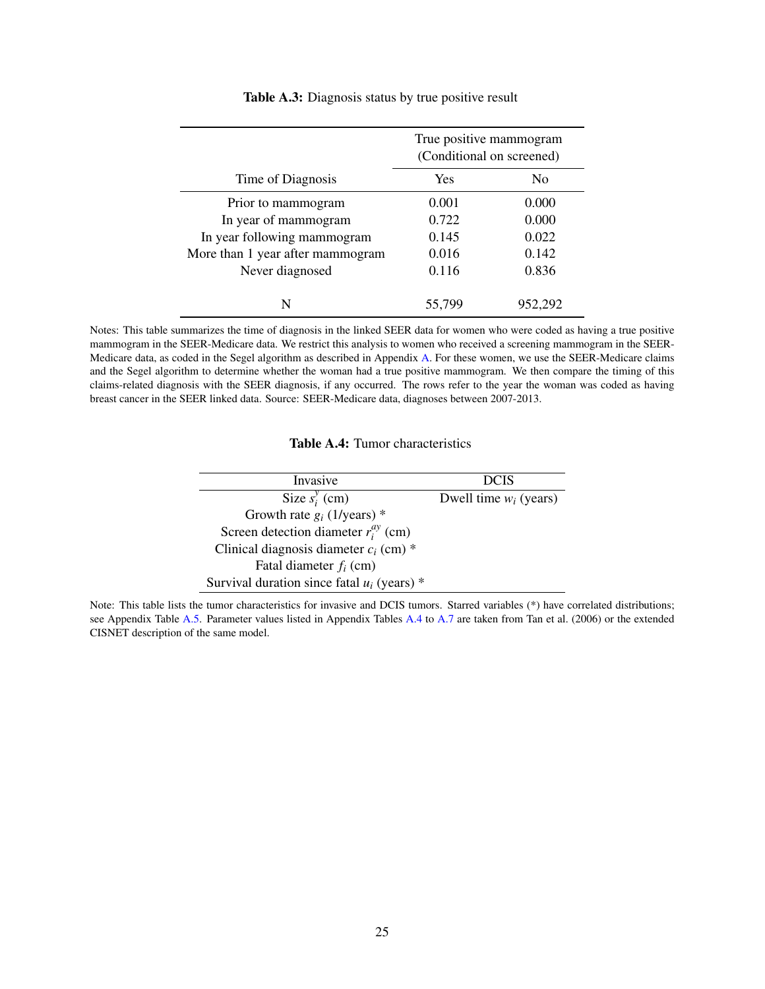<span id="page-24-0"></span>

|                                  | True positive mammogram<br>(Conditional on screened) |         |  |  |
|----------------------------------|------------------------------------------------------|---------|--|--|
| Time of Diagnosis                | <b>Yes</b>                                           | No      |  |  |
| Prior to mammogram               | 0.001                                                | 0.000   |  |  |
| In year of mammogram             | 0.722                                                | 0.000   |  |  |
| In year following mammogram      | 0.145                                                | 0.022   |  |  |
| More than 1 year after mammogram | 0.016                                                | 0.142   |  |  |
| Never diagnosed                  | 0.116                                                | 0.836   |  |  |
| N                                | 55.799                                               | 952.292 |  |  |

#### Table A.3: Diagnosis status by true positive result

<span id="page-24-1"></span>Notes: This table summarizes the time of diagnosis in the linked SEER data for women who were coded as having a true positive mammogram in the SEER-Medicare data. We restrict this analysis to women who received a screening mammogram in the SEER-Medicare data, as coded in the Segel algorithm as described in Appendix [A.](#page-0-1) For these women, we use the SEER-Medicare claims and the Segel algorithm to determine whether the woman had a true positive mammogram. We then compare the timing of this claims-related diagnosis with the SEER diagnosis, if any occurred. The rows refer to the year the woman was coded as having breast cancer in the SEER linked data. Source: SEER-Medicare data, diagnoses between 2007-2013.

#### Table A.4: Tumor characteristics

| Invasive                                      | <b>DCIS</b>              |
|-----------------------------------------------|--------------------------|
| Size $s_i^y$ (cm)                             | Dwell time $w_i$ (years) |
| Growth rate $g_i$ (1/years) *                 |                          |
| Screen detection diameter $r_i^{ay}$ (cm)     |                          |
| Clinical diagnosis diameter $c_i$ (cm) $*$    |                          |
| Fatal diameter $f_i$ (cm)                     |                          |
| Survival duration since fatal $u_i$ (years) * |                          |

Note: This table lists the tumor characteristics for invasive and DCIS tumors. Starred variables (\*) have correlated distributions; see Appendix Table [A.5.](#page-25-0) Parameter values listed in Appendix Tables [A.4](#page-24-1) to [A.7](#page-26-1) are taken from [Tan et al.](#page-30-3) [\(2006\)](#page-30-3) or the extended CISNET description of the same model.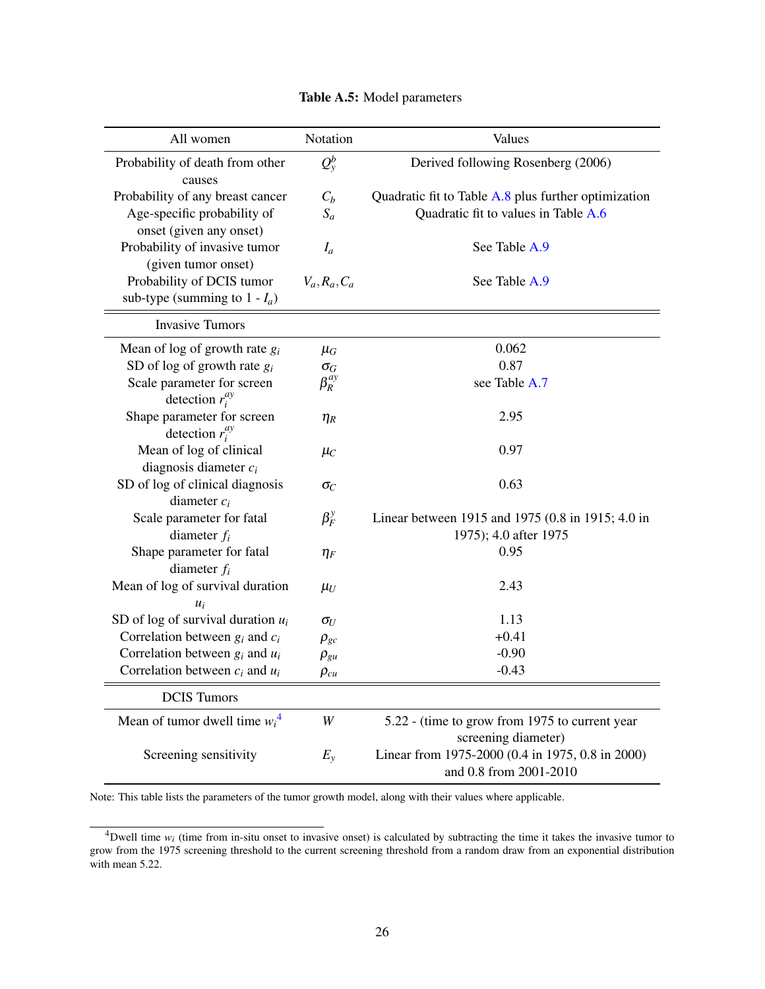<span id="page-25-0"></span>

| All women                                 | Notation        | Values                                               |
|-------------------------------------------|-----------------|------------------------------------------------------|
| Probability of death from other<br>causes | $Q_{y}^{b}$     | Derived following Rosenberg (2006)                   |
| Probability of any breast cancer          | $C_b$           | Quadratic fit to Table A.8 plus further optimization |
| Age-specific probability of               | $S_a$           | Quadratic fit to values in Table A.6                 |
| onset (given any onset)                   |                 |                                                      |
| Probability of invasive tumor             | $I_a$           | See Table A.9                                        |
| (given tumor onset)                       |                 |                                                      |
| Probability of DCIS tumor                 | $V_a, R_a, C_a$ | See Table A.9                                        |
| sub-type (summing to $1 - I_a$ )          |                 |                                                      |
| <b>Invasive Tumors</b>                    |                 |                                                      |
| Mean of log of growth rate $g_i$          | $\mu_G$         | 0.062                                                |
| SD of log of growth rate $g_i$            | $\sigma_G$      | 0.87                                                 |
| Scale parameter for screen                | $\beta_R^{ay}$  | see Table A.7                                        |
| detection $r_i^{ay}$                      |                 |                                                      |
| Shape parameter for screen                | $\eta_R$        | 2.95                                                 |
| detection $r_i^{ay}$                      |                 |                                                      |
| Mean of log of clinical                   | $\mu_C$         | 0.97                                                 |
| diagnosis diameter $c_i$                  |                 |                                                      |
| SD of log of clinical diagnosis           | $\sigma_C$      | 0.63                                                 |
| diameter $c_i$                            |                 |                                                      |
| Scale parameter for fatal                 | $\beta_F^y$     | Linear between 1915 and 1975 (0.8 in 1915; 4.0 in    |
| diameter $f_i$                            |                 | 1975); 4.0 after 1975                                |
| Shape parameter for fatal                 | $\eta_F$        | 0.95                                                 |
| diameter $f_i$                            |                 |                                                      |
| Mean of log of survival duration          | $\mu_U$         | 2.43                                                 |
| $u_i$                                     |                 |                                                      |
| SD of log of survival duration $u_i$      | $\sigma_U$      | 1.13                                                 |
| Correlation between $g_i$ and $c_i$       | $\rho_{gc}$     | $+0.41$                                              |
| Correlation between $g_i$ and $u_i$       | $\rho_{gu}$     | $-0.90$                                              |
| Correlation between $c_i$ and $u_i$       | $\rho_{cu}$     | $-0.43$                                              |
| <b>DCIS</b> Tumors                        |                 |                                                      |
| Mean of tumor dwell time $w_i^4$          | W               | 5.22 - (time to grow from 1975 to current year       |
|                                           |                 | screening diameter)                                  |
| Screening sensitivity                     | $E_{y}$         | Linear from 1975-2000 (0.4 in 1975, 0.8 in 2000)     |
|                                           |                 | and 0.8 from 2001-2010                               |

## Table A.5: Model parameters

Note: This table lists the parameters of the tumor growth model, along with their values where applicable.

<span id="page-25-1"></span><sup>&</sup>lt;sup>4</sup>Dwell time  $w_i$  (time from in-situ onset to invasive onset) is calculated by subtracting the time it takes the invasive tumor to grow from the 1975 screening threshold to the current screening threshold from a random draw from an exponential distribution with mean 5.22.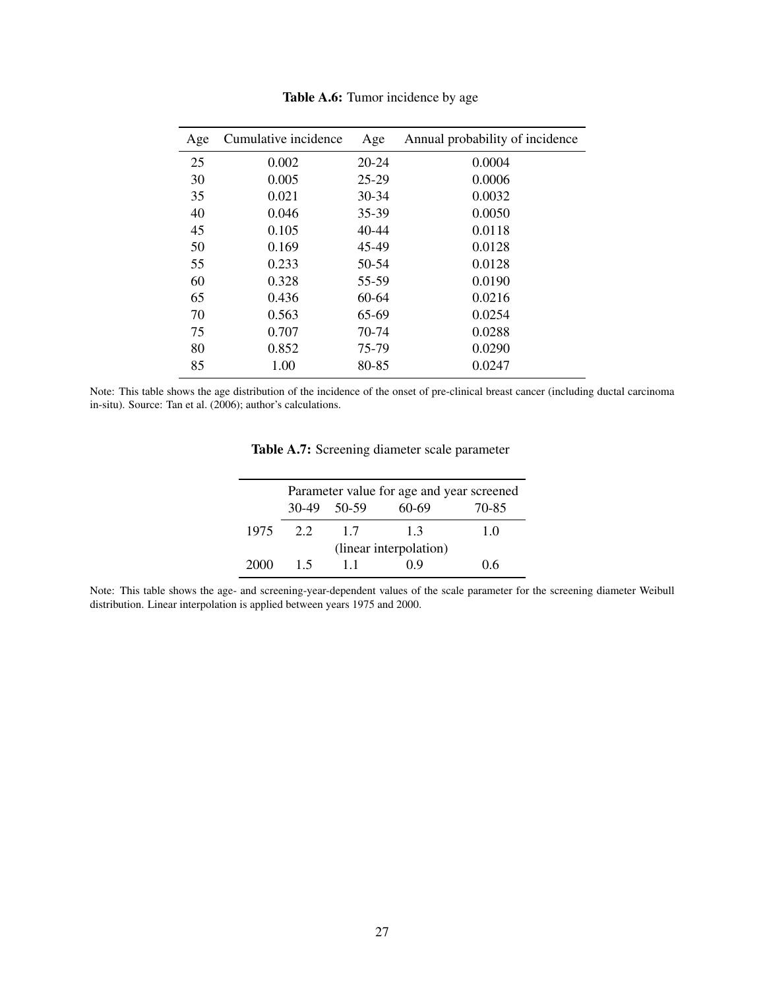<span id="page-26-0"></span>

| Age | Cumulative incidence | Age       | Annual probability of incidence |
|-----|----------------------|-----------|---------------------------------|
| 25  | 0.002                | $20 - 24$ | 0.0004                          |
| 30  | 0.005                | 25-29     | 0.0006                          |
| 35  | 0.021                | 30-34     | 0.0032                          |
| 40  | 0.046                | 35-39     | 0.0050                          |
| 45  | 0.105                | 40-44     | 0.0118                          |
| 50  | 0.169                | 45-49     | 0.0128                          |
| 55  | 0.233                | 50-54     | 0.0128                          |
| 60  | 0.328                | 55-59     | 0.0190                          |
| 65  | 0.436                | $60-64$   | 0.0216                          |
| 70  | 0.563                | 65-69     | 0.0254                          |
| 75  | 0.707                | 70-74     | 0.0288                          |
| 80  | 0.852                | 75-79     | 0.0290                          |
| 85  | 1.00                 | 80-85     | 0.0247                          |

Table A.6: Tumor incidence by age

<span id="page-26-1"></span>Note: This table shows the age distribution of the incidence of the onset of pre-clinical breast cancer (including ductal carcinoma in-situ). Source: [Tan et al.](#page-30-3) [\(2006\)](#page-30-3); author's calculations.

| <b>Table A.7:</b> Screening diameter scale parameter |  |
|------------------------------------------------------|--|
|                                                      |  |

|                              | Parameter value for age and year screened |    |    |     |  |  |  |  |  |  |
|------------------------------|-------------------------------------------|----|----|-----|--|--|--|--|--|--|
|                              | $30-49$ $50-59$<br>$60-69$<br>70-85       |    |    |     |  |  |  |  |  |  |
| 1975                         | 22                                        | 17 | 13 | 1.0 |  |  |  |  |  |  |
|                              | (linear interpolation)                    |    |    |     |  |  |  |  |  |  |
| 2000<br>09<br>06<br>15<br>11 |                                           |    |    |     |  |  |  |  |  |  |

Note: This table shows the age- and screening-year-dependent values of the scale parameter for the screening diameter Weibull distribution. Linear interpolation is applied between years 1975 and 2000.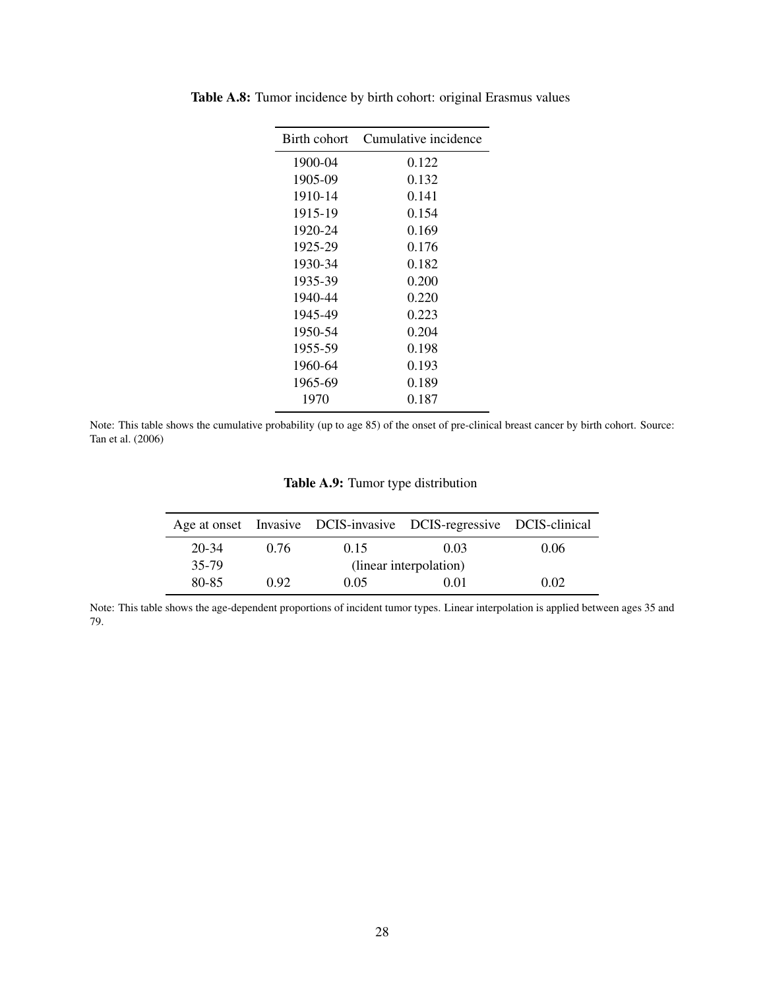| Birth cohort | Cumulative incidence |
|--------------|----------------------|
| 1900-04      | 0.122                |
| 1905-09      | 0.132                |
| 1910-14      | 0.141                |
| 1915-19      | 0.154                |
| 1920-24      | 0.169                |
| 1925-29      | 0.176                |
| 1930-34      | 0.182                |
| 1935-39      | 0.200                |
| 1940-44      | 0.220                |
| 1945-49      | 0.223                |
| 1950-54      | 0.204                |
| 1955-59      | 0.198                |
| 1960-64      | 0.193                |
| 1965-69      | 0.189                |
| 1970         | 0.187                |
|              |                      |

<span id="page-27-0"></span>Table A.8: Tumor incidence by birth cohort: original Erasmus values

<span id="page-27-1"></span>Note: This table shows the cumulative probability (up to age 85) of the onset of pre-clinical breast cancer by birth cohort. Source: [Tan et al.](#page-30-3) [\(2006\)](#page-30-3)

Table A.9: Tumor type distribution

|       |      |                        | Age at onset Invasive DCIS-invasive DCIS-regressive DCIS-clinical |      |
|-------|------|------------------------|-------------------------------------------------------------------|------|
| 20-34 | 0.76 | 0.15                   | 0.03                                                              | 0.06 |
| 35-79 |      | (linear interpolation) |                                                                   |      |
| 80-85 | 0.92 | 0.05                   | 0.01                                                              | 0.02 |

Note: This table shows the age-dependent proportions of incident tumor types. Linear interpolation is applied between ages 35 and 79.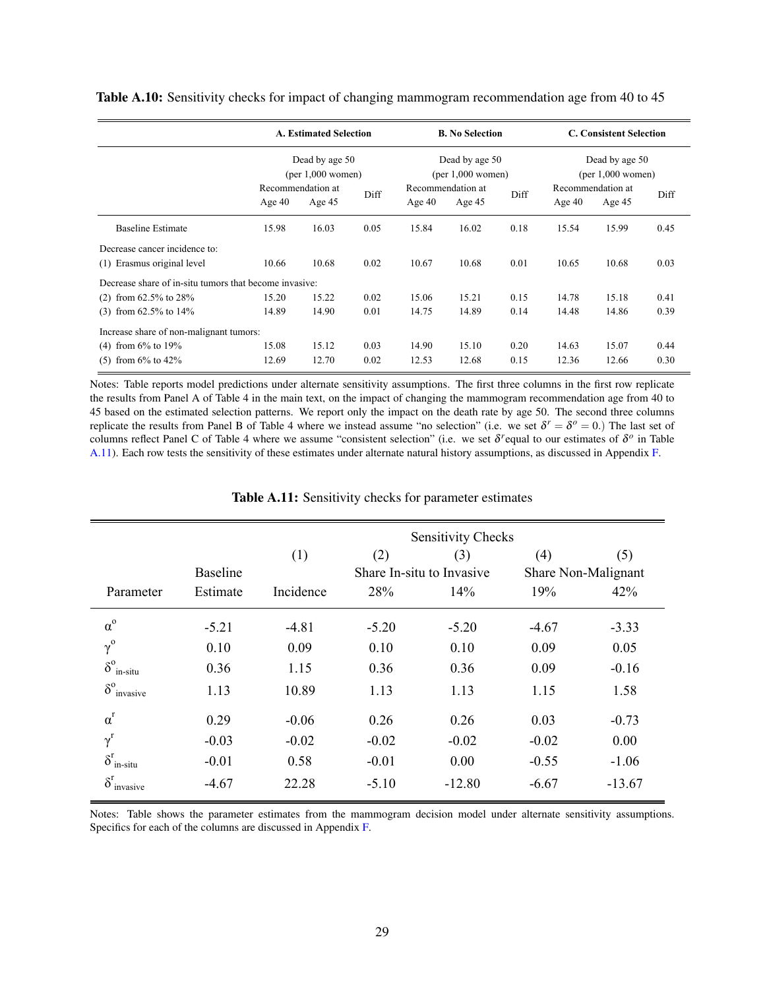|                                                        | <b>A. Estimated Selection</b>         |                   |      |                                       | <b>B.</b> No Selection    |                                       | <b>C. Consistent Selection</b> |          |      |
|--------------------------------------------------------|---------------------------------------|-------------------|------|---------------------------------------|---------------------------|---------------------------------------|--------------------------------|----------|------|
|                                                        |                                       |                   |      |                                       |                           |                                       |                                |          |      |
|                                                        | Dead by age 50<br>$(per 1,000$ women) |                   |      | Dead by age 50<br>$(per 1,000$ women) |                           | Dead by age 50<br>$(per 1,000$ women) |                                |          |      |
|                                                        |                                       | Recommendation at | Diff |                                       | Recommendation at<br>Diff |                                       | Recommendation at              | Diff     |      |
|                                                        | Age $40$                              | Age 45            |      | Age $40$                              | Age $45$                  |                                       | Age $40$                       | Age $45$ |      |
| <b>Baseline Estimate</b>                               | 15.98                                 | 16.03             | 0.05 | 15.84                                 | 16.02                     | 0.18                                  | 15.54                          | 15.99    | 0.45 |
| Decrease cancer incidence to:                          |                                       |                   |      |                                       |                           |                                       |                                |          |      |
| (1) Erasmus original level                             | 10.66                                 | 10.68             | 0.02 | 10.67                                 | 10.68                     | 0.01                                  | 10.65                          | 10.68    | 0.03 |
| Decrease share of in-situ tumors that become invasive: |                                       |                   |      |                                       |                           |                                       |                                |          |      |
| (2) from $62.5\%$ to $28\%$                            | 15.20                                 | 15.22             | 0.02 | 15.06                                 | 15.21                     | 0.15                                  | 14.78                          | 15.18    | 0.41 |
| $(3)$ from 62.5% to 14%                                | 14.89                                 | 14.90             | 0.01 | 14.75                                 | 14.89                     | 0.14                                  | 14.48                          | 14.86    | 0.39 |
| Increase share of non-malignant tumors:                |                                       |                   |      |                                       |                           |                                       |                                |          |      |
| (4) from $6\%$ to $19\%$                               | 15.08                                 | 15.12             | 0.03 | 14.90                                 | 15.10                     | 0.20                                  | 14.63                          | 15.07    | 0.44 |
| $(5)$ from 6% to 42%                                   | 12.69                                 | 12.70             | 0.02 | 12.53                                 | 12.68                     | 0.15                                  | 12.36                          | 12.66    | 0.30 |

<span id="page-28-0"></span>Table A.10: Sensitivity checks for impact of changing mammogram recommendation age from 40 to 45

Notes: Table reports model predictions under alternate sensitivity assumptions. The first three columns in the first row replicate the results from Panel A of Table 4 in the main text, on the impact of changing the mammogram recommendation age from 40 to 45 based on the estimated selection patterns. We report only the impact on the death rate by age 50. The second three columns replicate the results from Panel B of Table 4 where we instead assume "no selection" (i.e. we set  $\delta^r = \delta^o = 0$ .) The last set of columns reflect Panel C of Table 4 where we assume "consistent selection" (i.e. we set  $\delta^r$  equal to our estimates of  $\delta^o$  in Table [A.11\)](#page-28-1). Each row tests the sensitivity of these estimates under alternate natural history assumptions, as discussed in Appendix [F.](#page-10-1)

<span id="page-28-1"></span>

|                                           |                 |           |         | Sensitivity Checks        |         |                     |
|-------------------------------------------|-----------------|-----------|---------|---------------------------|---------|---------------------|
|                                           |                 | (1)       | (2)     | (3)                       | (4)     | (5)                 |
|                                           | <b>Baseline</b> |           |         | Share In-situ to Invasive |         | Share Non-Malignant |
| Parameter                                 | Estimate        | Incidence | 28%     | 14%                       | 19%     | 42%                 |
| $\alpha^{\rm o}$                          | $-5.21$         | $-4.81$   | $-5.20$ | $-5.20$                   | $-4.67$ | $-3.33$             |
| $\gamma^{\rm o}$                          | 0.10            | 0.09      | 0.10    | 0.10                      | 0.09    | 0.05                |
| $\delta^{\rm o}$<br>in-situ               | 0.36            | 1.15      | 0.36    | 0.36                      | 0.09    | $-0.16$             |
| $\delta^o_{\hbox{\scriptsize{invasive}}}$ | 1.13            | 10.89     | 1.13    | 1.13                      | 1.15    | 1.58                |
| $\alpha^r$                                | 0.29            | $-0.06$   | 0.26    | 0.26                      | 0.03    | $-0.73$             |
| $\gamma^{\rm r}$                          | $-0.03$         | $-0.02$   | $-0.02$ | $-0.02$                   | $-0.02$ | 0.00                |
| $\delta^r_{\,\mathrm{in\text{-}situ}}$    | $-0.01$         | 0.58      | $-0.01$ | 0.00                      | $-0.55$ | $-1.06$             |
| $\delta^r_{\rm{invasive}}$                | $-4.67$         | 22.28     | $-5.10$ | $-12.80$                  | $-6.67$ | $-13.67$            |

Table A.11: Sensitivity checks for parameter estimates

Notes: Table shows the parameter estimates from the mammogram decision model under alternate sensitivity assumptions. Specifics for each of the columns are discussed in Appendix [F.](#page-10-1)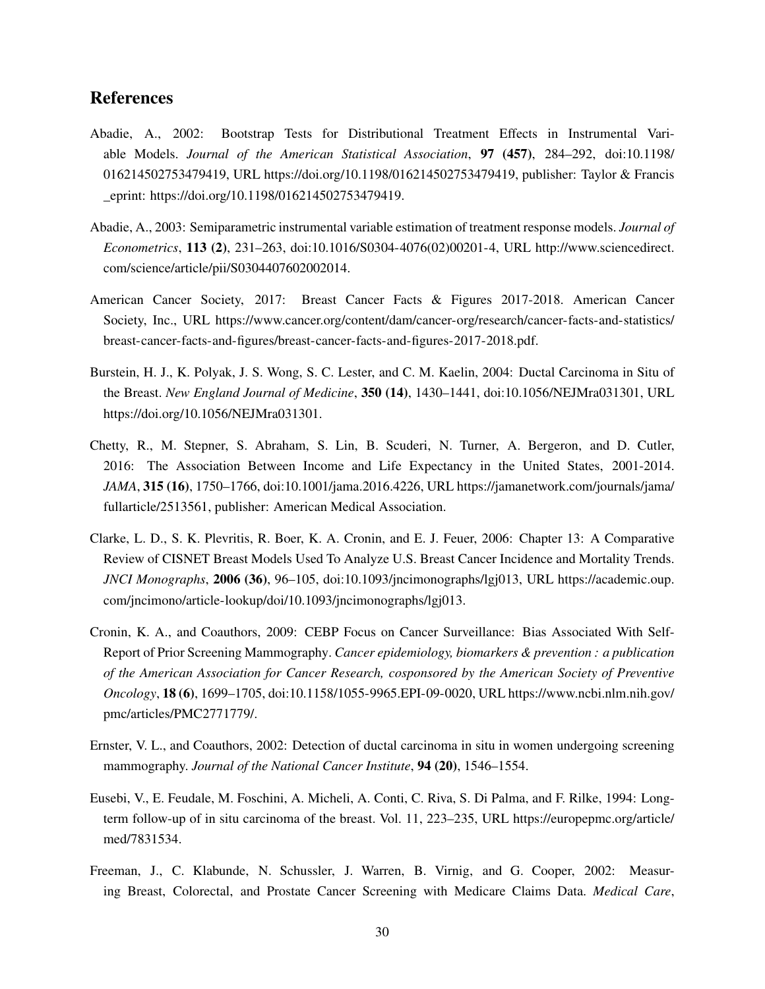# References

- <span id="page-29-3"></span>Abadie, A., 2002: Bootstrap Tests for Distributional Treatment Effects in Instrumental Variable Models. *Journal of the American Statistical Association*, 97 (457), 284–292, doi:10.1198/ 016214502753479419, URL [https://doi.org/10.1198/016214502753479419,](https://doi.org/10.1198/016214502753479419) publisher: Taylor & Francis \_eprint: https://doi.org/10.1198/016214502753479419.
- <span id="page-29-4"></span>Abadie, A., 2003: Semiparametric instrumental variable estimation of treatment response models. *Journal of Econometrics*, 113 (2), 231–263, doi:10.1016/S0304-4076(02)00201-4, URL [http://www.sciencedirect.](http://www.sciencedirect.com/science/article/pii/S0304407602002014) [com/science/article/pii/S0304407602002014.](http://www.sciencedirect.com/science/article/pii/S0304407602002014)
- <span id="page-29-9"></span>American Cancer Society, 2017: Breast Cancer Facts & Figures 2017-2018. American Cancer Society, Inc., URL [https://www.cancer.org/content/dam/cancer-org/research/cancer-facts-and-statistics/](https://www.cancer.org/content/dam/cancer-org/research/cancer-facts-and-statistics/breast-cancer-facts-and-figures/breast-cancer-facts-and-figures-2017-2018.pdf) [breast-cancer-facts-and-figures/breast-cancer-facts-and-figures-2017-2018.pdf.](https://www.cancer.org/content/dam/cancer-org/research/cancer-facts-and-statistics/breast-cancer-facts-and-figures/breast-cancer-facts-and-figures-2017-2018.pdf)
- <span id="page-29-7"></span>Burstein, H. J., K. Polyak, J. S. Wong, S. C. Lester, and C. M. Kaelin, 2004: Ductal Carcinoma in Situ of the Breast. *New England Journal of Medicine*, 350 (14), 1430–1441, doi:10.1056/NEJMra031301, URL [https://doi.org/10.1056/NEJMra031301.](https://doi.org/10.1056/NEJMra031301)
- <span id="page-29-2"></span>Chetty, R., M. Stepner, S. Abraham, S. Lin, B. Scuderi, N. Turner, A. Bergeron, and D. Cutler, 2016: The Association Between Income and Life Expectancy in the United States, 2001-2014. *JAMA*, 315 (16), 1750–1766, doi:10.1001/jama.2016.4226, URL [https://jamanetwork.com/journals/jama/](https://jamanetwork.com/journals/jama/fullarticle/2513561) [fullarticle/2513561,](https://jamanetwork.com/journals/jama/fullarticle/2513561) publisher: American Medical Association.
- <span id="page-29-5"></span>Clarke, L. D., S. K. Plevritis, R. Boer, K. A. Cronin, and E. J. Feuer, 2006: Chapter 13: A Comparative Review of CISNET Breast Models Used To Analyze U.S. Breast Cancer Incidence and Mortality Trends. *JNCI Monographs*, 2006 (36), 96–105, doi:10.1093/jncimonographs/lgj013, URL [https://academic.oup.](https://academic.oup.com/jncimono/article-lookup/doi/10.1093/jncimonographs/lgj013) [com/jncimono/article-lookup/doi/10.1093/jncimonographs/lgj013.](https://academic.oup.com/jncimono/article-lookup/doi/10.1093/jncimonographs/lgj013)
- <span id="page-29-1"></span>Cronin, K. A., and Coauthors, 2009: CEBP Focus on Cancer Surveillance: Bias Associated With Self-Report of Prior Screening Mammography. *Cancer epidemiology, biomarkers & prevention : a publication of the American Association for Cancer Research, cosponsored by the American Society of Preventive Oncology*, 18 (6), 1699–1705, doi:10.1158/1055-9965.EPI-09-0020, URL [https://www.ncbi.nlm.nih.gov/](https://www.ncbi.nlm.nih.gov/pmc/articles/PMC2771779/) [pmc/articles/PMC2771779/.](https://www.ncbi.nlm.nih.gov/pmc/articles/PMC2771779/)
- <span id="page-29-6"></span>Ernster, V. L., and Coauthors, 2002: Detection of ductal carcinoma in situ in women undergoing screening mammography. *Journal of the National Cancer Institute*, 94 (20), 1546–1554.
- <span id="page-29-8"></span>Eusebi, V., E. Feudale, M. Foschini, A. Micheli, A. Conti, C. Riva, S. Di Palma, and F. Rilke, 1994: Longterm follow-up of in situ carcinoma of the breast. Vol. 11, 223–235, URL [https://europepmc.org/article/](https://europepmc.org/article/med/7831534) [med/7831534.](https://europepmc.org/article/med/7831534)
- <span id="page-29-0"></span>Freeman, J., C. Klabunde, N. Schussler, J. Warren, B. Virnig, and G. Cooper, 2002: Measuring Breast, Colorectal, and Prostate Cancer Screening with Medicare Claims Data. *Medical Care*,